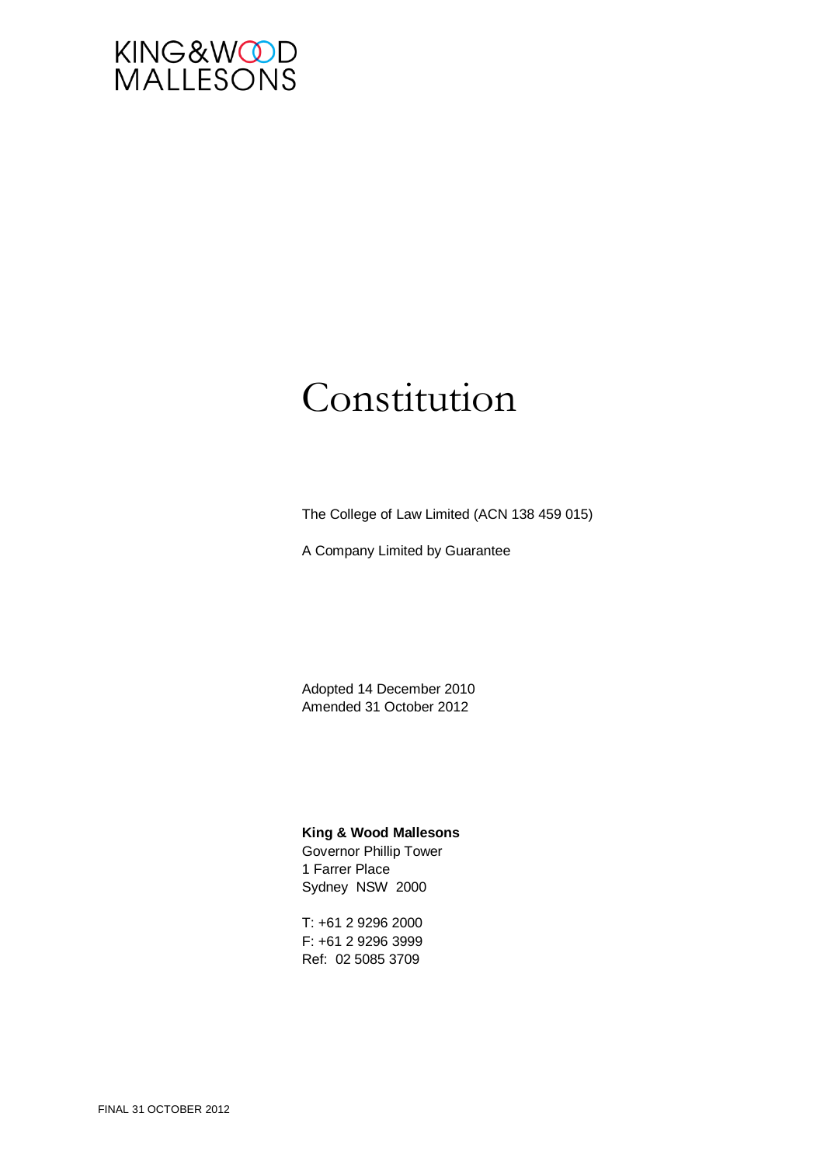

# Constitution

The College of Law Limited (ACN 138 459 015)

A Company Limited by Guarantee

Adopted 14 December 2010 Amended 31 October 2012

#### **King & Wood Mallesons**

Governor Phillip Tower 1 Farrer Place Sydney NSW 2000

T: +61 2 9296 2000 F: +61 2 9296 3999 Ref: 02 5085 3709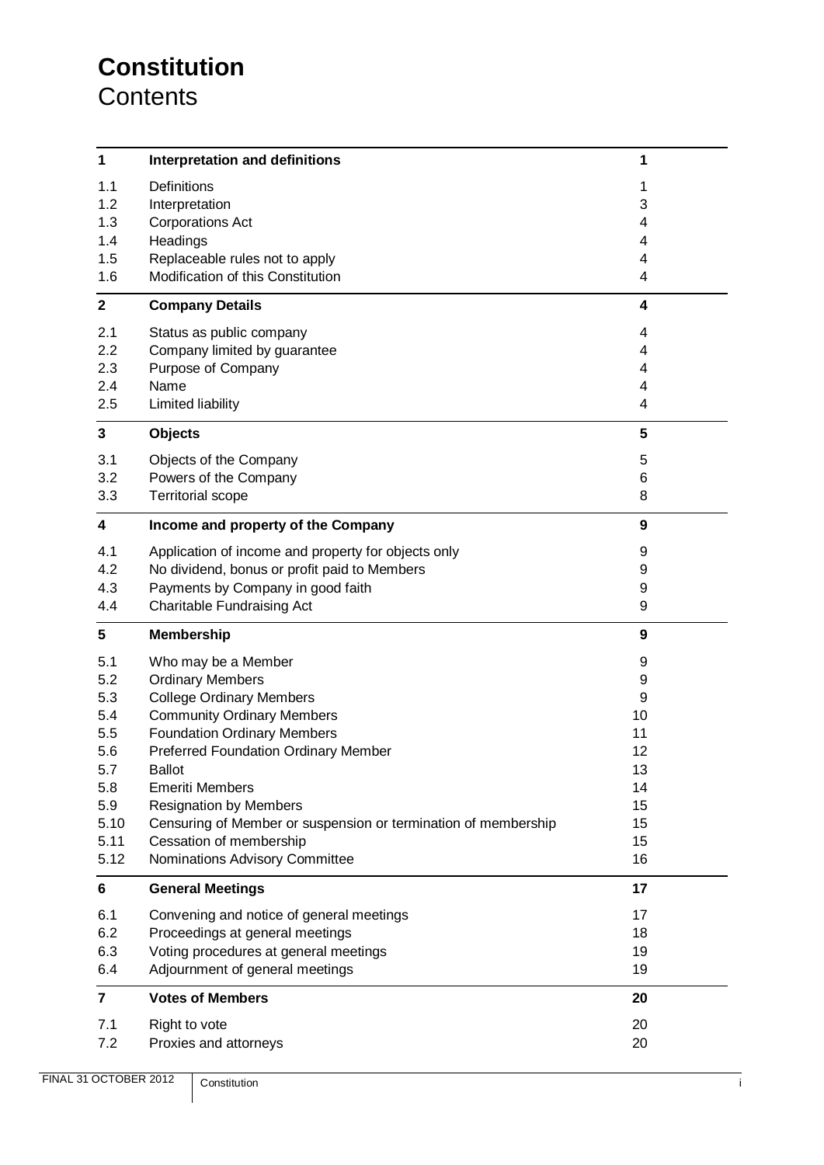# **Constitution Contents**

| $\mathbf{1}$            | <b>Interpretation and definitions</b>                               | 1                |
|-------------------------|---------------------------------------------------------------------|------------------|
| 1.1                     | Definitions                                                         | 1                |
| 1.2                     | Interpretation                                                      | 3                |
| 1.3                     | <b>Corporations Act</b>                                             | 4                |
| 1.4                     | Headings                                                            | 4                |
| 1.5<br>1.6              | Replaceable rules not to apply<br>Modification of this Constitution | 4                |
|                         |                                                                     | 4                |
| $\mathbf{2}$            | <b>Company Details</b>                                              | 4                |
| 2.1                     | Status as public company                                            | 4                |
| 2.2                     | Company limited by guarantee                                        | 4                |
| 2.3                     | Purpose of Company                                                  | 4                |
| 2.4                     | Name                                                                | 4                |
| 2.5                     | Limited liability                                                   | 4                |
| $\mathbf{3}$            | <b>Objects</b>                                                      | 5                |
| 3.1                     | Objects of the Company                                              | 5                |
| 3.2                     | Powers of the Company                                               | 6                |
| 3.3                     | <b>Territorial scope</b>                                            | 8                |
| $\overline{\mathbf{4}}$ | Income and property of the Company                                  | $\boldsymbol{9}$ |
| 4.1                     | Application of income and property for objects only                 | 9                |
| 4.2                     | No dividend, bonus or profit paid to Members                        | 9                |
| 4.3                     | Payments by Company in good faith                                   | 9                |
| 4.4                     | Charitable Fundraising Act                                          | 9                |
| 5                       | <b>Membership</b>                                                   | 9                |
| 5.1                     | Who may be a Member                                                 | 9                |
| 5.2                     | <b>Ordinary Members</b>                                             | 9                |
| 5.3                     | <b>College Ordinary Members</b>                                     | 9                |
| 5.4                     | <b>Community Ordinary Members</b>                                   | 10               |
| 5.5                     | <b>Foundation Ordinary Members</b>                                  | 11               |
| 5.6                     | <b>Preferred Foundation Ordinary Member</b>                         | 12               |
| 5.7                     | <b>Ballot</b>                                                       | 13               |
| 5.8                     | <b>Emeriti Members</b>                                              | 14               |
| 5.9                     | <b>Resignation by Members</b>                                       | 15               |
| 5.10                    | Censuring of Member or suspension or termination of membership      | 15               |
| 5.11                    | Cessation of membership                                             | 15               |
| 5.12                    | Nominations Advisory Committee                                      | 16               |
| $6\phantom{a}$          | <b>General Meetings</b>                                             | 17               |
| 6.1                     | Convening and notice of general meetings                            | 17               |
| 6.2                     | Proceedings at general meetings                                     | 18               |
| 6.3                     | Voting procedures at general meetings                               | 19               |
| 6.4                     | Adjournment of general meetings                                     | 19               |
| $\overline{7}$          | <b>Votes of Members</b>                                             | 20               |
| 7.1                     | Right to vote                                                       | 20               |
| 7.2                     | Proxies and attorneys                                               | 20               |
|                         |                                                                     |                  |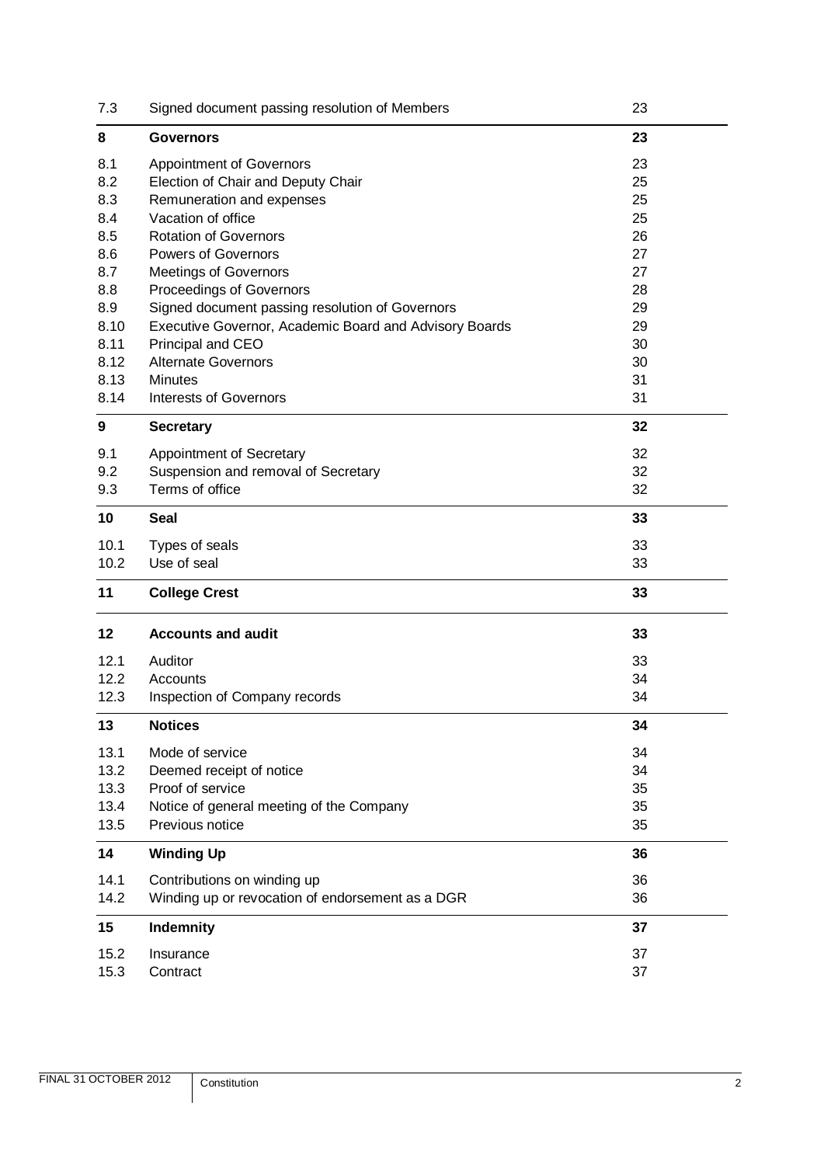| 7.3          | Signed document passing resolution of Members          | 23       |
|--------------|--------------------------------------------------------|----------|
| 8            | <b>Governors</b>                                       | 23       |
| 8.1          | <b>Appointment of Governors</b>                        | 23       |
| 8.2          | Election of Chair and Deputy Chair                     | 25       |
| 8.3          | Remuneration and expenses                              | 25       |
| 8.4          | Vacation of office                                     | 25       |
| 8.5          | <b>Rotation of Governors</b>                           | 26       |
| 8.6          | <b>Powers of Governors</b>                             | 27       |
| 8.7          | <b>Meetings of Governors</b>                           | 27       |
| 8.8          | Proceedings of Governors                               | 28       |
| 8.9          | Signed document passing resolution of Governors        | 29       |
| 8.10         | Executive Governor, Academic Board and Advisory Boards | 29       |
| 8.11         | Principal and CEO                                      | 30       |
| 8.12         | <b>Alternate Governors</b>                             | 30       |
| 8.13         | <b>Minutes</b>                                         | 31       |
| 8.14         | <b>Interests of Governors</b>                          | 31       |
| 9            | <b>Secretary</b>                                       | 32       |
| 9.1          | Appointment of Secretary                               | 32       |
| 9.2          | Suspension and removal of Secretary                    | 32       |
| 9.3          | Terms of office                                        | 32       |
| 10           | <b>Seal</b>                                            | 33       |
|              |                                                        |          |
| 10.1         | Types of seals                                         | 33       |
| 10.2         | Use of seal                                            | 33       |
|              |                                                        |          |
| 11           | <b>College Crest</b>                                   | 33       |
| 12           | <b>Accounts and audit</b>                              | 33       |
|              |                                                        |          |
| 12.1         | Auditor                                                | 33       |
| 12.2         | Accounts                                               | 34       |
| 12.3         | Inspection of Company records                          | 34       |
| 13           | <b>Notices</b>                                         | 34       |
| 13.1         | Mode of service                                        | 34       |
| 13.2         | Deemed receipt of notice                               | 34       |
| 13.3         | Proof of service                                       | 35       |
| 13.4         | Notice of general meeting of the Company               | 35       |
| 13.5         | Previous notice                                        | 35       |
| 14           | <b>Winding Up</b>                                      | 36       |
| 14.1         | Contributions on winding up                            | 36       |
| 14.2         | Winding up or revocation of endorsement as a DGR       | 36       |
| 15           | Indemnity                                              | 37       |
|              |                                                        |          |
| 15.2<br>15.3 | Insurance<br>Contract                                  | 37<br>37 |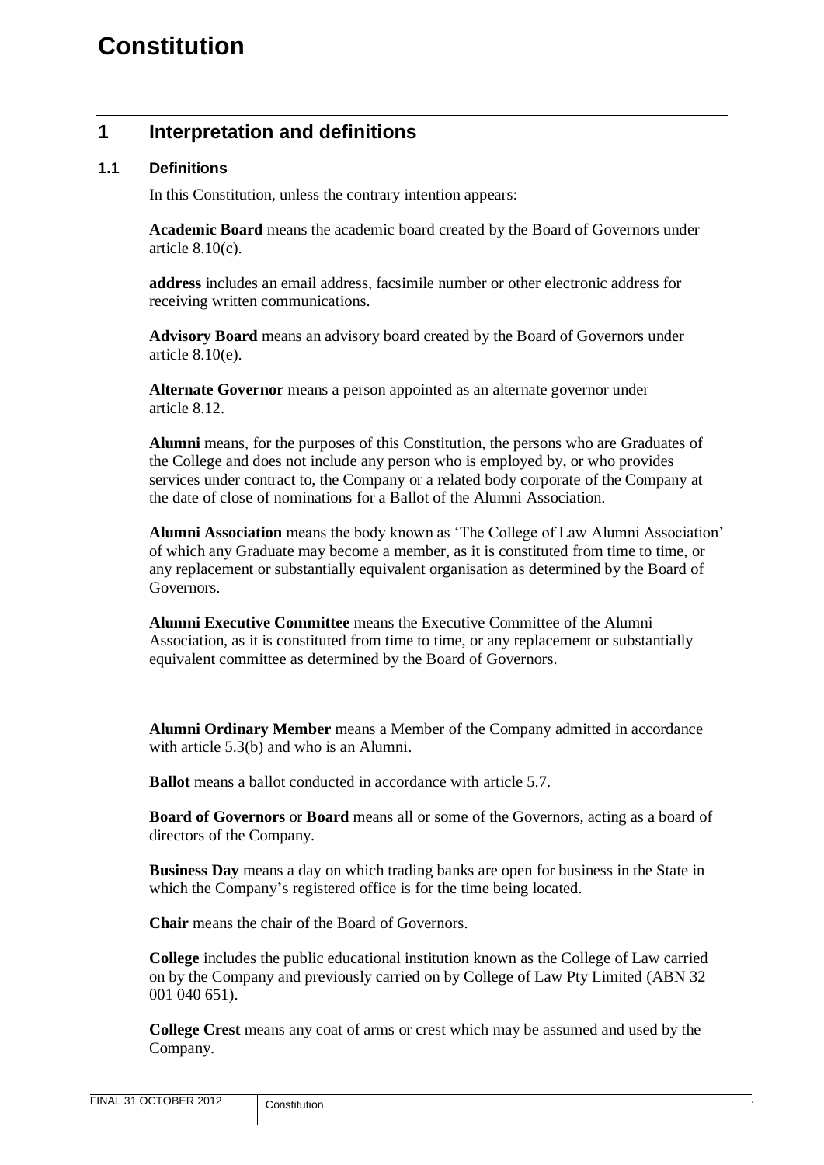# <span id="page-3-0"></span>**1 Interpretation and definitions**

#### <span id="page-3-1"></span>**1.1 Definitions**

In this Constitution, unless the contrary intention appears:

**Academic Board** means the academic board created by the Board of Governors under article [8.10\(c\).](#page-32-2)

**address** includes an email address, facsimile number or other electronic address for receiving written communications.

**Advisory Board** means an advisory board created by the Board of Governors under article [8.10\(e\).](#page-32-3)

**Alternate Governor** means a person appointed as an alternate governor under article [8.12.](#page-32-1)

**Alumni** means, for the purposes of this Constitution, the persons who are Graduates of the College and does not include any person who is employed by, or who provides services under contract to, the Company or a related body corporate of the Company at the date of close of nominations for a Ballot of the Alumni Association.

**Alumni Association** means the body known as 'The College of Law Alumni Association' of which any Graduate may become a member, as it is constituted from time to time, or any replacement or substantially equivalent organisation as determined by the Board of Governors.

**Alumni Executive Committee** means the Executive Committee of the Alumni Association, as it is constituted from time to time, or any replacement or substantially equivalent committee as determined by the Board of Governors.

**Alumni Ordinary Member** means a Member of the Company admitted in accordance with article [5.3\(b\)](#page-11-9) and who is an Alumni.

**Ballot** means a ballot conducted in accordance with article [5.7.](#page-15-0)

**Board of Governors** or **Board** means all or some of the Governors, acting as a board of directors of the Company.

**Business Day** means a day on which trading banks are open for business in the State in which the Company's registered office is for the time being located.

**Chair** means the chair of the Board of Governors.

**College** includes the public educational institution known as the College of Law carried on by the Company and previously carried on by College of Law Pty Limited (ABN 32 001 040 651).

**College Crest** means any coat of arms or crest which may be assumed and used by the Company.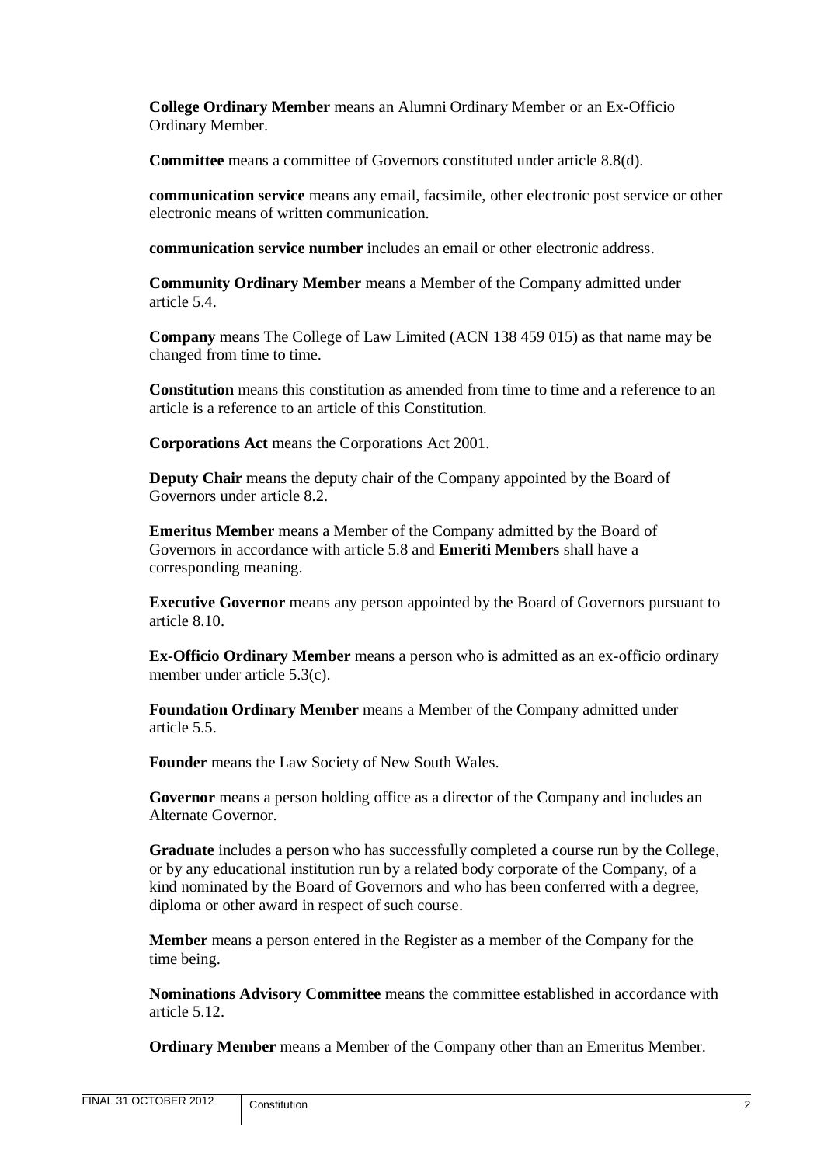**College Ordinary Member** means an Alumni Ordinary Member or an Ex-Officio Ordinary Member.

**Committee** means a committee of Governors constituted under article [8.8\(d\).](#page-31-2)

**communication service** means any email, facsimile, other electronic post service or other electronic means of written communication.

**communication service number** includes an email or other electronic address.

**Community Ordinary Member** means a Member of the Company admitted under article [5.4.](#page-12-0)

**Company** means The College of Law Limited (ACN 138 459 015) as that name may be changed from time to time.

**Constitution** means this constitution as amended from time to time and a reference to an article is a reference to an article of this Constitution.

**Corporations Act** means the Corporations Act 2001.

**Deputy Chair** means the deputy chair of the Company appointed by the Board of Governors under article [8.2.](#page-27-0)

**Emeritus Member** means a Member of the Company admitted by the Board of Governors in accordance with article [5.8](#page-16-0) and **Emeriti Members** shall have a corresponding meaning.

**Executive Governor** means any person appointed by the Board of Governors pursuant to article [8.10.](#page-31-1)

**Ex-Officio Ordinary Member** means a person who is admitted as an ex-officio ordinary member under article [5.3\(c\).](#page-12-1)

**Foundation Ordinary Member** means a Member of the Company admitted under article [5.5.](#page-13-0)

**Founder** means the Law Society of New South Wales.

**Governor** means a person holding office as a director of the Company and includes an Alternate Governor.

**Graduate** includes a person who has successfully completed a course run by the College, or by any educational institution run by a related body corporate of the Company, of a kind nominated by the Board of Governors and who has been conferred with a degree, diploma or other award in respect of such course.

**Member** means a person entered in the Register as a member of the Company for the time being.

**Nominations Advisory Committee** means the committee established in accordance with article [5.12.](#page-18-0)

**Ordinary Member** means a Member of the Company other than an Emeritus Member.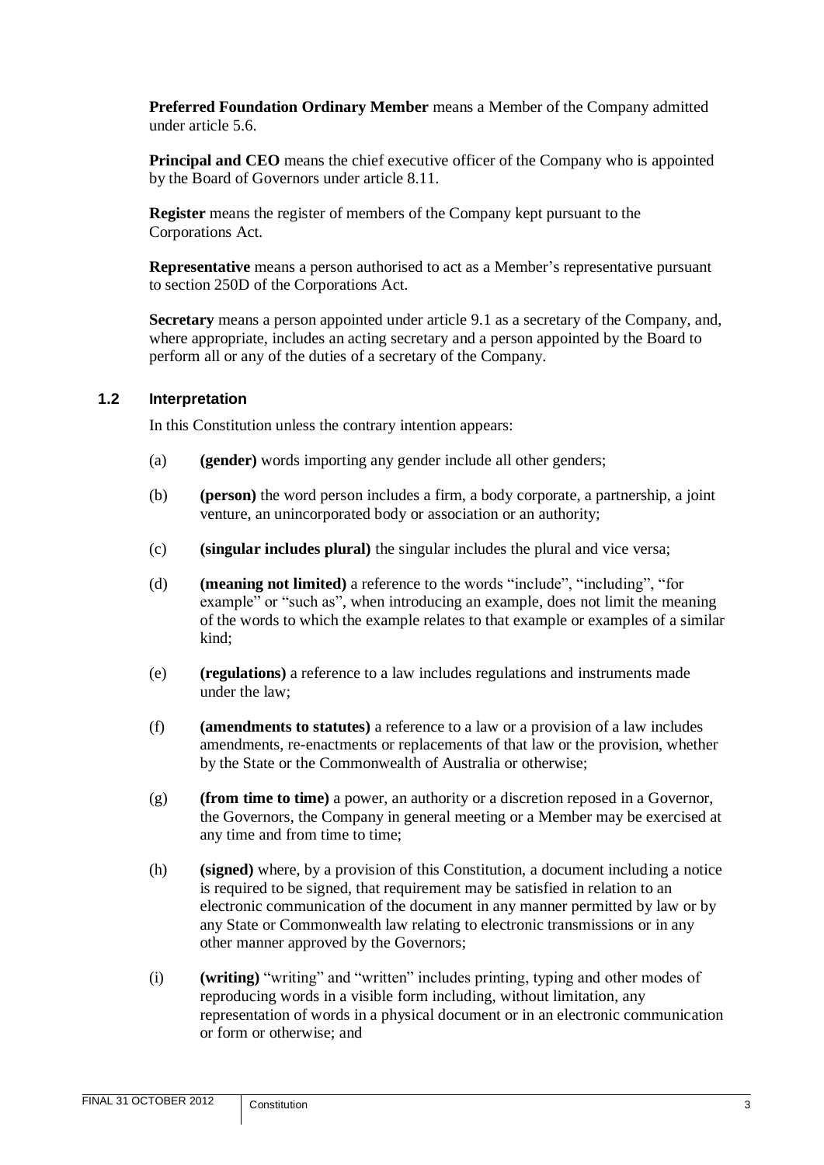**Preferred Foundation Ordinary Member** means a Member of the Company admitted under article [5.6.](#page-14-0)

**Principal and CEO** means the chief executive officer of the Company who is appointed by the Board of Governors under article [8.11.](#page-32-0)

**Register** means the register of members of the Company kept pursuant to the Corporations Act.

**Representative** means a person authorised to act as a Member's representative pursuant to section 250D of the Corporations Act.

**Secretary** means a person appointed under article [9.1](#page-34-1) as a secretary of the Company, and, where appropriate, includes an acting secretary and a person appointed by the Board to perform all or any of the duties of a secretary of the Company.

#### <span id="page-5-0"></span>**1.2 Interpretation**

In this Constitution unless the contrary intention appears:

- (a) **(gender)** words importing any gender include all other genders;
- (b) **(person)** the word person includes a firm, a body corporate, a partnership, a joint venture, an unincorporated body or association or an authority;
- (c) **(singular includes plural)** the singular includes the plural and vice versa;
- (d) **(meaning not limited)** a reference to the words "include", "including", "for example" or "such as", when introducing an example, does not limit the meaning of the words to which the example relates to that example or examples of a similar kind;
- (e) **(regulations)** a reference to a law includes regulations and instruments made under the law;
- (f) **(amendments to statutes)** a reference to a law or a provision of a law includes amendments, re-enactments or replacements of that law or the provision, whether by the State or the Commonwealth of Australia or otherwise;
- (g) **(from time to time)** a power, an authority or a discretion reposed in a Governor, the Governors, the Company in general meeting or a Member may be exercised at any time and from time to time;
- (h) **(signed)** where, by a provision of this Constitution, a document including a notice is required to be signed, that requirement may be satisfied in relation to an electronic communication of the document in any manner permitted by law or by any State or Commonwealth law relating to electronic transmissions or in any other manner approved by the Governors;
- (i) **(writing)** "writing" and "written" includes printing, typing and other modes of reproducing words in a visible form including, without limitation, any representation of words in a physical document or in an electronic communication or form or otherwise; and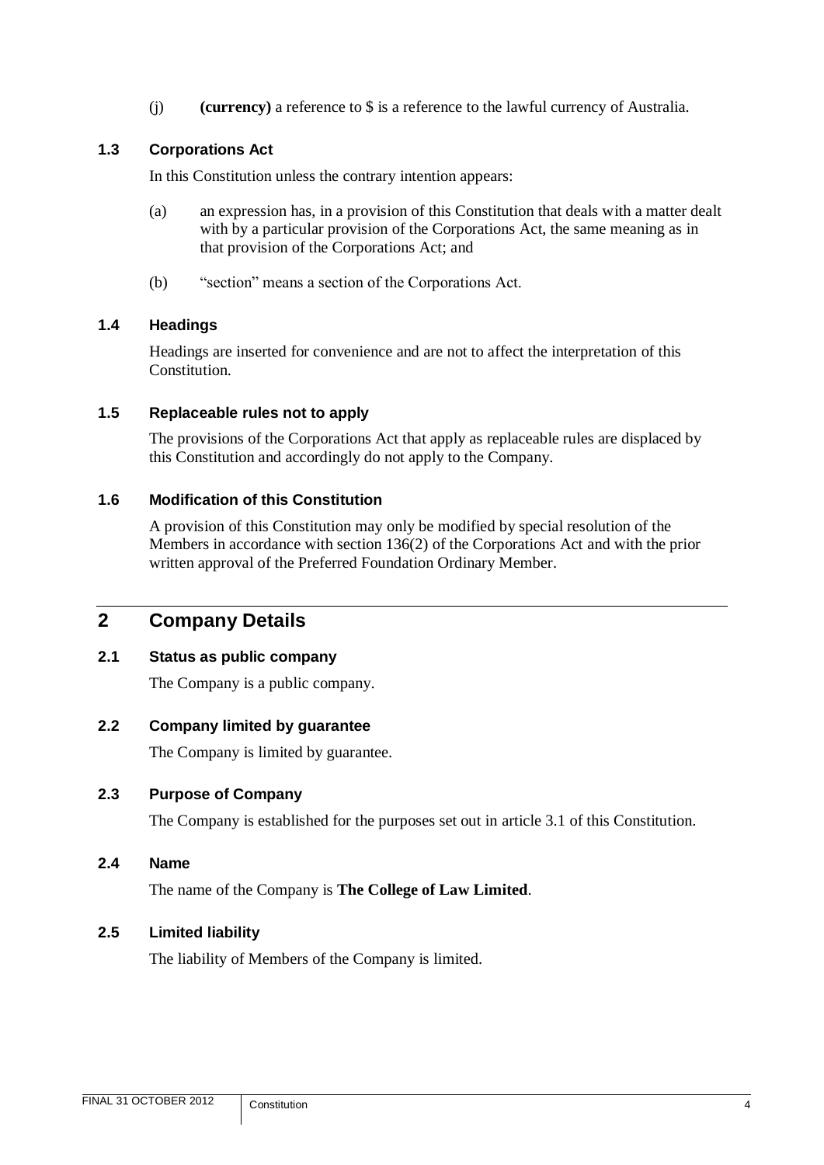(j) **(currency)** a reference to \$ is a reference to the lawful currency of Australia.

# <span id="page-6-0"></span>**1.3 Corporations Act**

In this Constitution unless the contrary intention appears:

- (a) an expression has, in a provision of this Constitution that deals with a matter dealt with by a particular provision of the Corporations Act, the same meaning as in that provision of the Corporations Act; and
- (b) "section" means a section of the Corporations Act.

#### <span id="page-6-1"></span>**1.4 Headings**

Headings are inserted for convenience and are not to affect the interpretation of this Constitution.

#### <span id="page-6-2"></span>**1.5 Replaceable rules not to apply**

The provisions of the Corporations Act that apply as replaceable rules are displaced by this Constitution and accordingly do not apply to the Company.

#### <span id="page-6-3"></span>**1.6 Modification of this Constitution**

A provision of this Constitution may only be modified by special resolution of the Members in accordance with section 136(2) of the Corporations Act and with the prior written approval of the Preferred Foundation Ordinary Member.

# <span id="page-6-4"></span>**2 Company Details**

#### <span id="page-6-5"></span>**2.1 Status as public company**

The Company is a public company.

#### <span id="page-6-6"></span>**2.2 Company limited by guarantee**

The Company is limited by guarantee.

#### <span id="page-6-7"></span>**2.3 Purpose of Company**

The Company is established for the purposes set out in article [3.1](#page-7-1) of this Constitution.

<span id="page-6-8"></span>**2.4 Name**

The name of the Company is **The College of Law Limited**.

#### <span id="page-6-9"></span>**2.5 Limited liability**

The liability of Members of the Company is limited.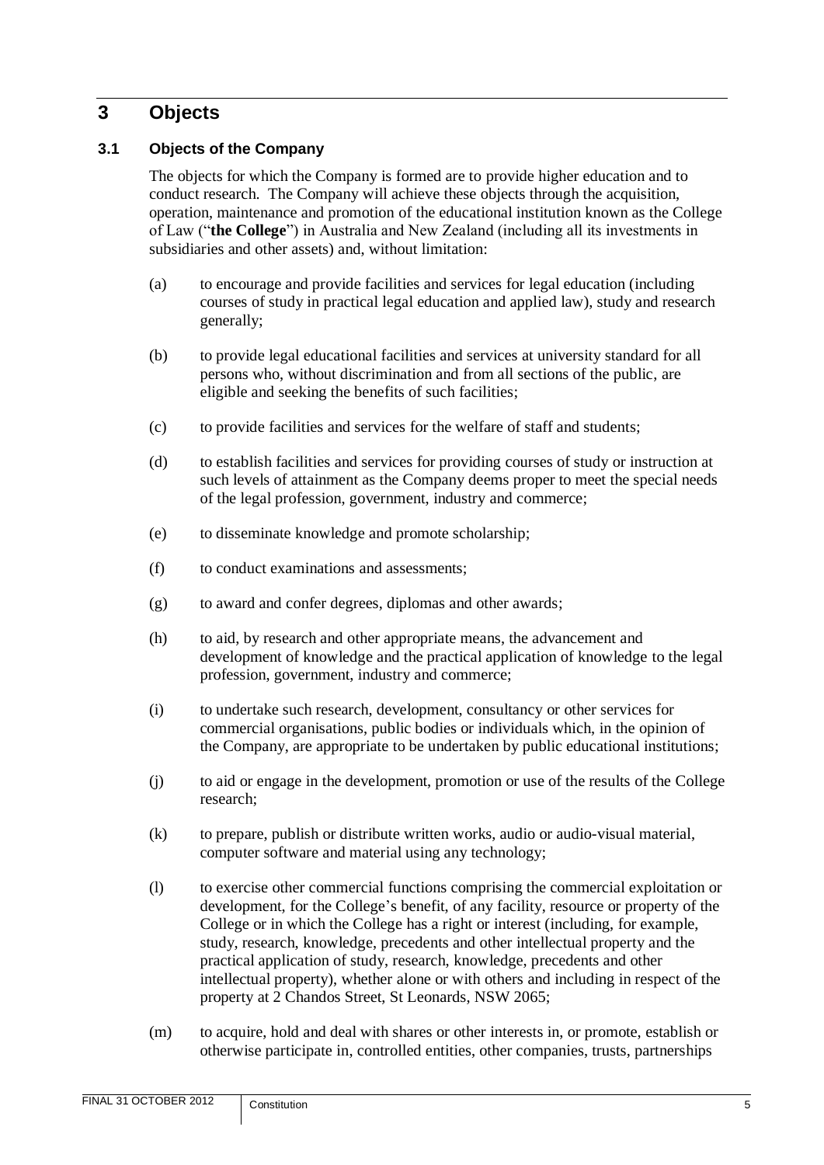# <span id="page-7-0"></span>**3 Objects**

# <span id="page-7-1"></span>**3.1 Objects of the Company**

The objects for which the Company is formed are to provide higher education and to conduct research. The Company will achieve these objects through the acquisition, operation, maintenance and promotion of the educational institution known as the College of Law ("**the College**") in Australia and New Zealand (including all its investments in subsidiaries and other assets) and, without limitation:

- (a) to encourage and provide facilities and services for legal education (including courses of study in practical legal education and applied law), study and research generally;
- (b) to provide legal educational facilities and services at university standard for all persons who, without discrimination and from all sections of the public, are eligible and seeking the benefits of such facilities;
- (c) to provide facilities and services for the welfare of staff and students;
- (d) to establish facilities and services for providing courses of study or instruction at such levels of attainment as the Company deems proper to meet the special needs of the legal profession, government, industry and commerce;
- (e) to disseminate knowledge and promote scholarship;
- (f) to conduct examinations and assessments;
- (g) to award and confer degrees, diplomas and other awards;
- (h) to aid, by research and other appropriate means, the advancement and development of knowledge and the practical application of knowledge to the legal profession, government, industry and commerce;
- (i) to undertake such research, development, consultancy or other services for commercial organisations, public bodies or individuals which, in the opinion of the Company, are appropriate to be undertaken by public educational institutions;
- (j) to aid or engage in the development, promotion or use of the results of the College research;
- (k) to prepare, publish or distribute written works, audio or audio-visual material, computer software and material using any technology;
- (l) to exercise other commercial functions comprising the commercial exploitation or development, for the College's benefit, of any facility, resource or property of the College or in which the College has a right or interest (including, for example, study, research, knowledge, precedents and other intellectual property and the practical application of study, research, knowledge, precedents and other intellectual property), whether alone or with others and including in respect of the property at 2 Chandos Street, St Leonards, NSW 2065;
- (m) to acquire, hold and deal with shares or other interests in, or promote, establish or otherwise participate in, controlled entities, other companies, trusts, partnerships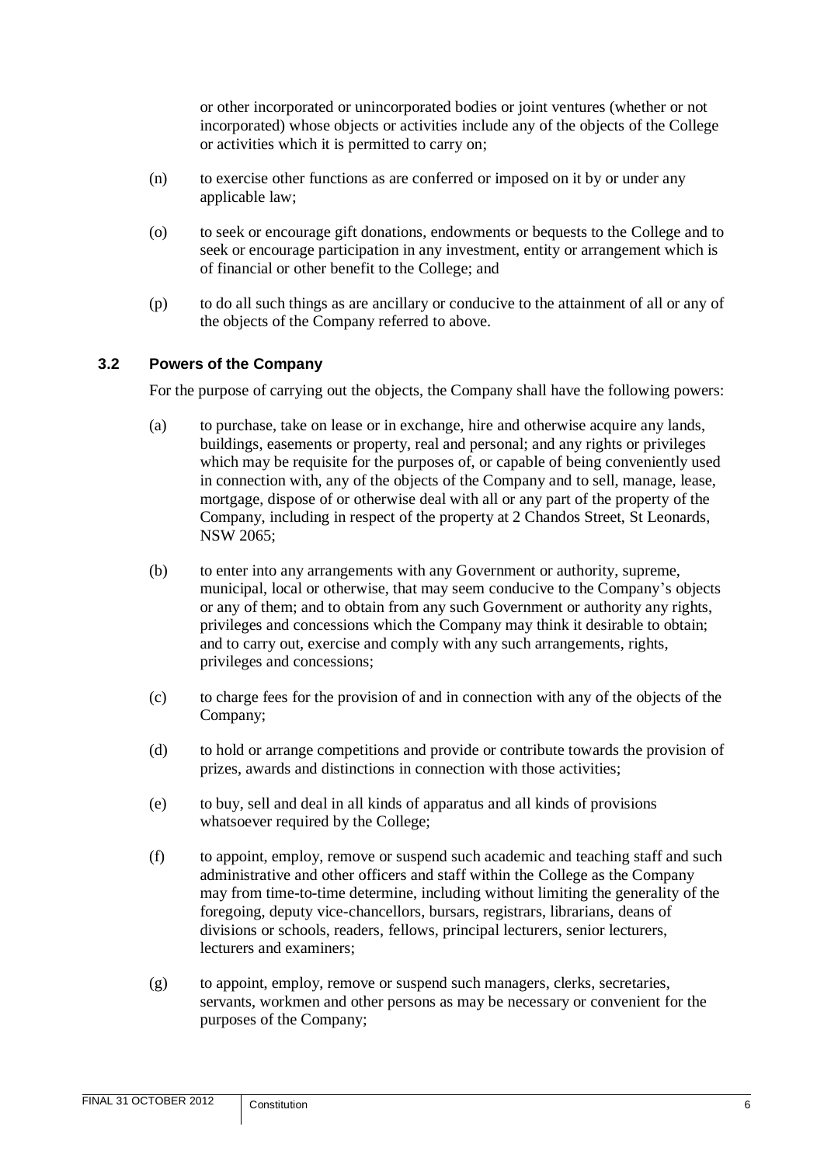or other incorporated or unincorporated bodies or joint ventures (whether or not incorporated) whose objects or activities include any of the objects of the College or activities which it is permitted to carry on;

- (n) to exercise other functions as are conferred or imposed on it by or under any applicable law;
- (o) to seek or encourage gift donations, endowments or bequests to the College and to seek or encourage participation in any investment, entity or arrangement which is of financial or other benefit to the College; and
- (p) to do all such things as are ancillary or conducive to the attainment of all or any of the objects of the Company referred to above.

#### <span id="page-8-0"></span>**3.2 Powers of the Company**

For the purpose of carrying out the objects, the Company shall have the following powers:

- (a) to purchase, take on lease or in exchange, hire and otherwise acquire any lands, buildings, easements or property, real and personal; and any rights or privileges which may be requisite for the purposes of, or capable of being conveniently used in connection with, any of the objects of the Company and to sell, manage, lease, mortgage, dispose of or otherwise deal with all or any part of the property of the Company, including in respect of the property at 2 Chandos Street, St Leonards, NSW 2065;
- (b) to enter into any arrangements with any Government or authority, supreme, municipal, local or otherwise, that may seem conducive to the Company's objects or any of them; and to obtain from any such Government or authority any rights, privileges and concessions which the Company may think it desirable to obtain; and to carry out, exercise and comply with any such arrangements, rights, privileges and concessions;
- (c) to charge fees for the provision of and in connection with any of the objects of the Company;
- (d) to hold or arrange competitions and provide or contribute towards the provision of prizes, awards and distinctions in connection with those activities;
- (e) to buy, sell and deal in all kinds of apparatus and all kinds of provisions whatsoever required by the College;
- (f) to appoint, employ, remove or suspend such academic and teaching staff and such administrative and other officers and staff within the College as the Company may from time-to-time determine, including without limiting the generality of the foregoing, deputy vice-chancellors, bursars, registrars, librarians, deans of divisions or schools, readers, fellows, principal lecturers, senior lecturers, lecturers and examiners;
- (g) to appoint, employ, remove or suspend such managers, clerks, secretaries, servants, workmen and other persons as may be necessary or convenient for the purposes of the Company;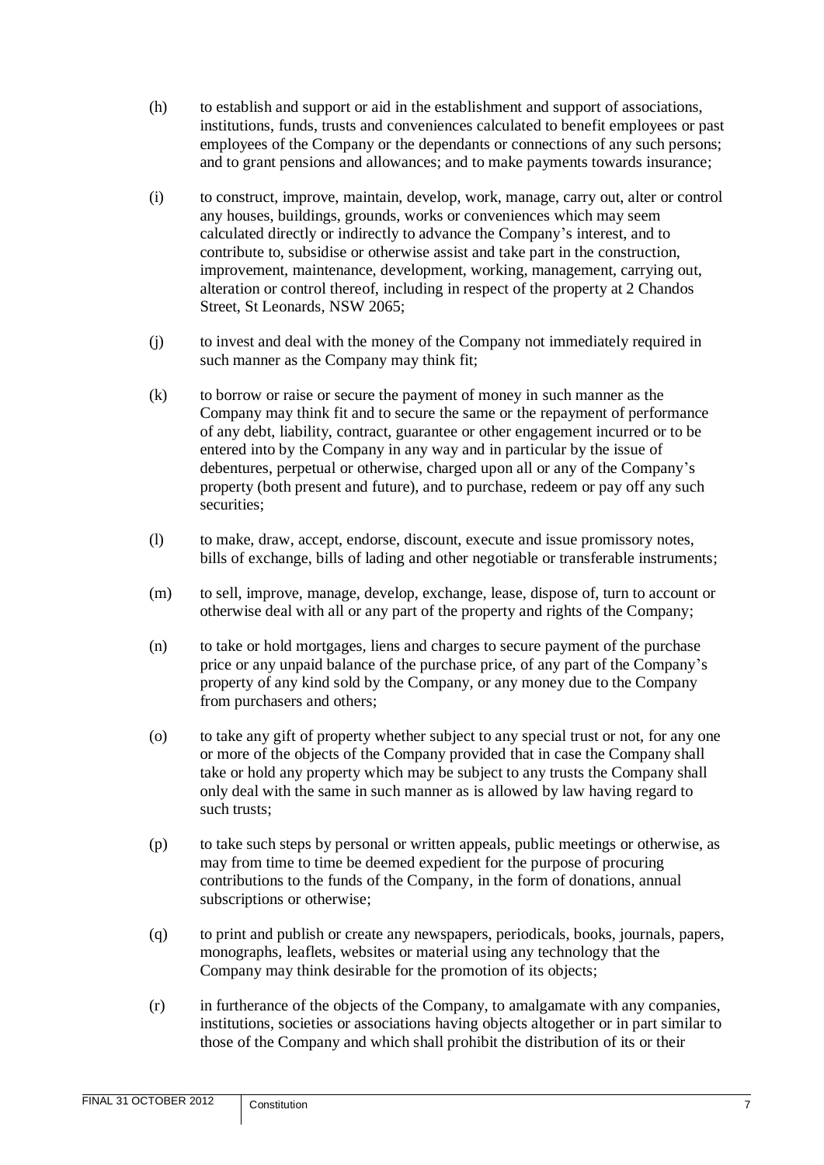- (h) to establish and support or aid in the establishment and support of associations, institutions, funds, trusts and conveniences calculated to benefit employees or past employees of the Company or the dependants or connections of any such persons; and to grant pensions and allowances; and to make payments towards insurance;
- (i) to construct, improve, maintain, develop, work, manage, carry out, alter or control any houses, buildings, grounds, works or conveniences which may seem calculated directly or indirectly to advance the Company's interest, and to contribute to, subsidise or otherwise assist and take part in the construction, improvement, maintenance, development, working, management, carrying out, alteration or control thereof, including in respect of the property at 2 Chandos Street, St Leonards, NSW 2065;
- (j) to invest and deal with the money of the Company not immediately required in such manner as the Company may think fit;
- (k) to borrow or raise or secure the payment of money in such manner as the Company may think fit and to secure the same or the repayment of performance of any debt, liability, contract, guarantee or other engagement incurred or to be entered into by the Company in any way and in particular by the issue of debentures, perpetual or otherwise, charged upon all or any of the Company's property (both present and future), and to purchase, redeem or pay off any such securities;
- (l) to make, draw, accept, endorse, discount, execute and issue promissory notes, bills of exchange, bills of lading and other negotiable or transferable instruments;
- (m) to sell, improve, manage, develop, exchange, lease, dispose of, turn to account or otherwise deal with all or any part of the property and rights of the Company;
- (n) to take or hold mortgages, liens and charges to secure payment of the purchase price or any unpaid balance of the purchase price, of any part of the Company's property of any kind sold by the Company, or any money due to the Company from purchasers and others;
- (o) to take any gift of property whether subject to any special trust or not, for any one or more of the objects of the Company provided that in case the Company shall take or hold any property which may be subject to any trusts the Company shall only deal with the same in such manner as is allowed by law having regard to such trusts;
- (p) to take such steps by personal or written appeals, public meetings or otherwise, as may from time to time be deemed expedient for the purpose of procuring contributions to the funds of the Company, in the form of donations, annual subscriptions or otherwise;
- (q) to print and publish or create any newspapers, periodicals, books, journals, papers, monographs, leaflets, websites or material using any technology that the Company may think desirable for the promotion of its objects;
- (r) in furtherance of the objects of the Company, to amalgamate with any companies, institutions, societies or associations having objects altogether or in part similar to those of the Company and which shall prohibit the distribution of its or their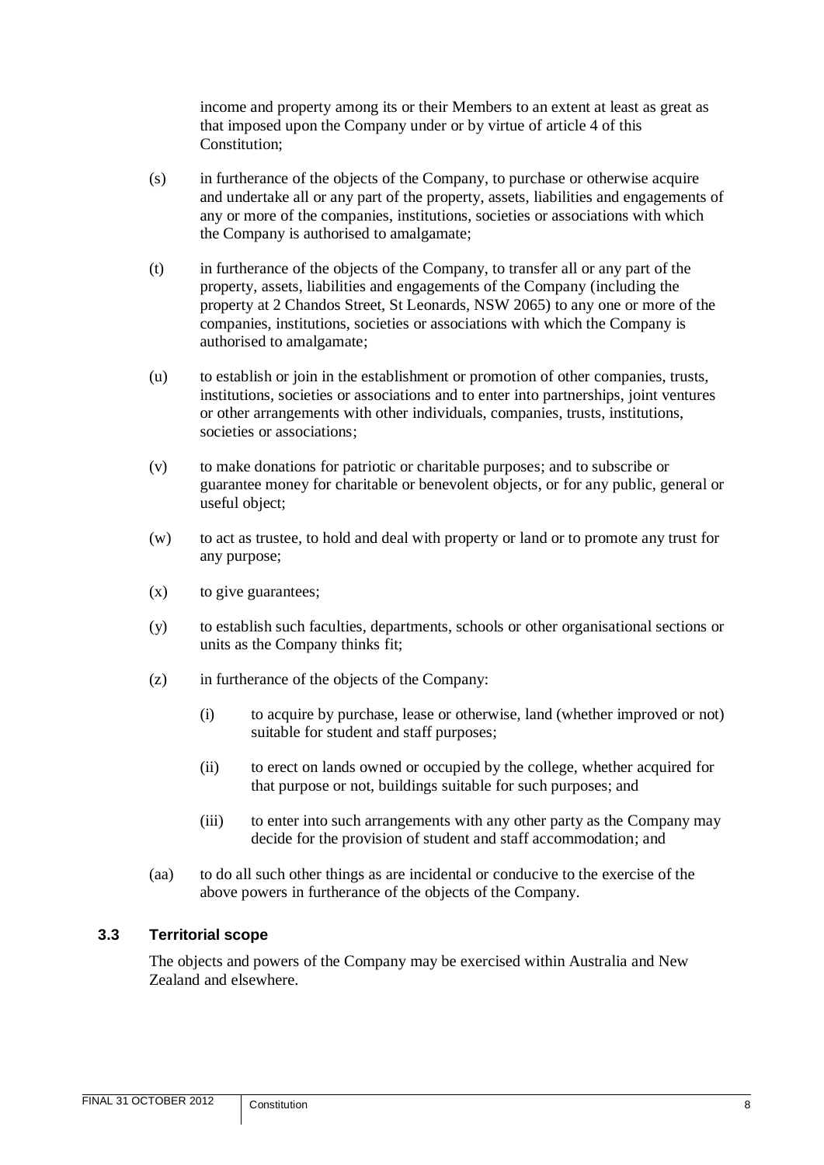income and property among its or their Members to an extent at least as great as that imposed upon the Company under or by virtue of article [4](#page-11-0) of this Constitution;

- (s) in furtherance of the objects of the Company, to purchase or otherwise acquire and undertake all or any part of the property, assets, liabilities and engagements of any or more of the companies, institutions, societies or associations with which the Company is authorised to amalgamate;
- (t) in furtherance of the objects of the Company, to transfer all or any part of the property, assets, liabilities and engagements of the Company (including the property at 2 Chandos Street, St Leonards, NSW 2065) to any one or more of the companies, institutions, societies or associations with which the Company is authorised to amalgamate;
- (u) to establish or join in the establishment or promotion of other companies, trusts, institutions, societies or associations and to enter into partnerships, joint ventures or other arrangements with other individuals, companies, trusts, institutions, societies or associations;
- (v) to make donations for patriotic or charitable purposes; and to subscribe or guarantee money for charitable or benevolent objects, or for any public, general or useful object;
- (w) to act as trustee, to hold and deal with property or land or to promote any trust for any purpose;
- $(x)$  to give guarantees;
- (y) to establish such faculties, departments, schools or other organisational sections or units as the Company thinks fit;
- (z) in furtherance of the objects of the Company:
	- (i) to acquire by purchase, lease or otherwise, land (whether improved or not) suitable for student and staff purposes;
	- (ii) to erect on lands owned or occupied by the college, whether acquired for that purpose or not, buildings suitable for such purposes; and
	- (iii) to enter into such arrangements with any other party as the Company may decide for the provision of student and staff accommodation; and
- (aa) to do all such other things as are incidental or conducive to the exercise of the above powers in furtherance of the objects of the Company.

# <span id="page-10-0"></span>**3.3 Territorial scope**

The objects and powers of the Company may be exercised within Australia and New Zealand and elsewhere.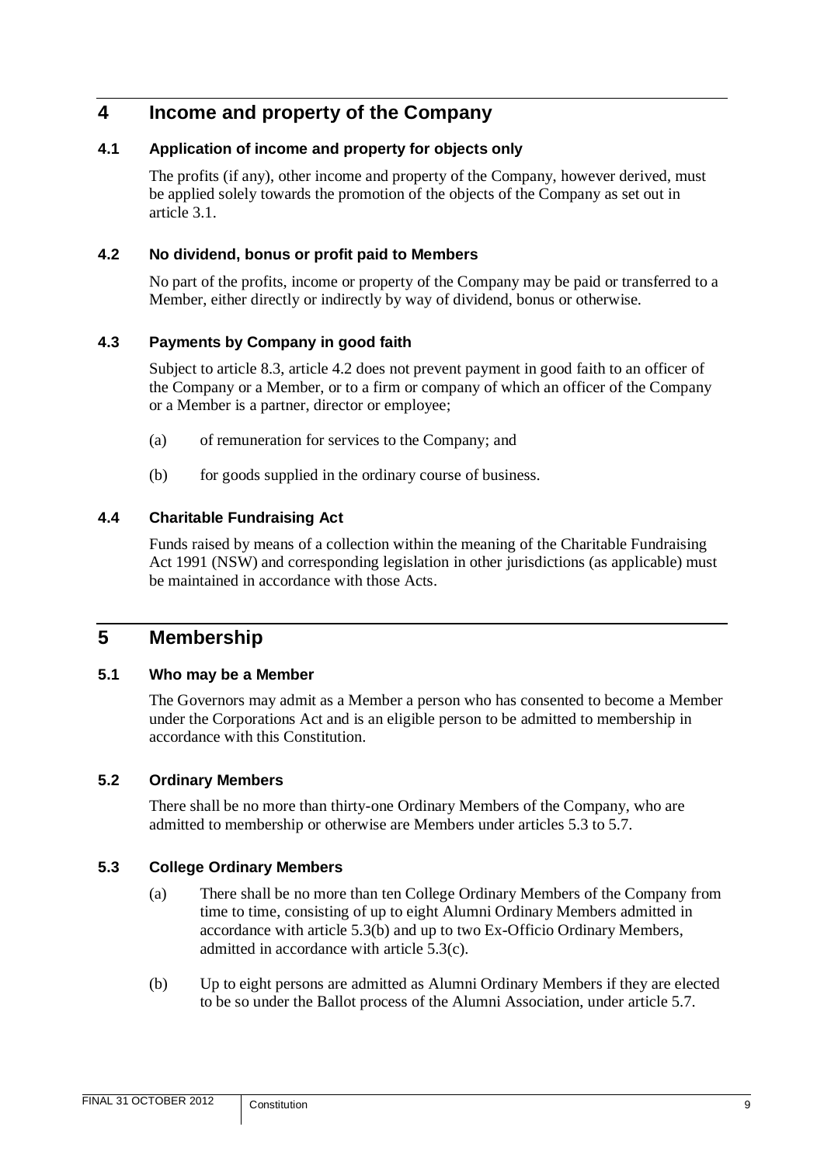# <span id="page-11-0"></span>**4 Income and property of the Company**

# <span id="page-11-1"></span>**4.1 Application of income and property for objects only**

The profits (if any), other income and property of the Company, however derived, must be applied solely towards the promotion of the objects of the Company as set out in article [3.1.](#page-7-1)

# <span id="page-11-2"></span>**4.2 No dividend, bonus or profit paid to Members**

No part of the profits, income or property of the Company may be paid or transferred to a Member, either directly or indirectly by way of dividend, bonus or otherwise.

# <span id="page-11-3"></span>**4.3 Payments by Company in good faith**

Subject to article [8.3,](#page-27-1) article [4.2](#page-11-2) does not prevent payment in good faith to an officer of the Company or a Member, or to a firm or company of which an officer of the Company or a Member is a partner, director or employee;

- (a) of remuneration for services to the Company; and
- (b) for goods supplied in the ordinary course of business.

# <span id="page-11-4"></span>**4.4 Charitable Fundraising Act**

Funds raised by means of a collection within the meaning of the Charitable Fundraising Act 1991 (NSW) and corresponding legislation in other jurisdictions (as applicable) must be maintained in accordance with those Acts.

# <span id="page-11-5"></span>**5 Membership**

# <span id="page-11-6"></span>**5.1 Who may be a Member**

The Governors may admit as a Member a person who has consented to become a Member under the Corporations Act and is an eligible person to be admitted to membership in accordance with this Constitution.

# <span id="page-11-7"></span>**5.2 Ordinary Members**

There shall be no more than thirty-one Ordinary Members of the Company, who are admitted to membership or otherwise are Members under articles [5.3](#page-11-8) to [5.7.](#page-15-0)

# <span id="page-11-10"></span><span id="page-11-8"></span>**5.3 College Ordinary Members**

- (a) There shall be no more than ten College Ordinary Members of the Company from time to time, consisting of up to eight Alumni Ordinary Members admitted in accordance with article [5.3\(b\)](#page-11-9) and up to two Ex-Officio Ordinary Members, admitted in accordance with article [5.3\(c\).](#page-12-1)
- <span id="page-11-9"></span>(b) Up to eight persons are admitted as Alumni Ordinary Members if they are elected to be so under the Ballot process of the Alumni Association, under article [5.7.](#page-15-0)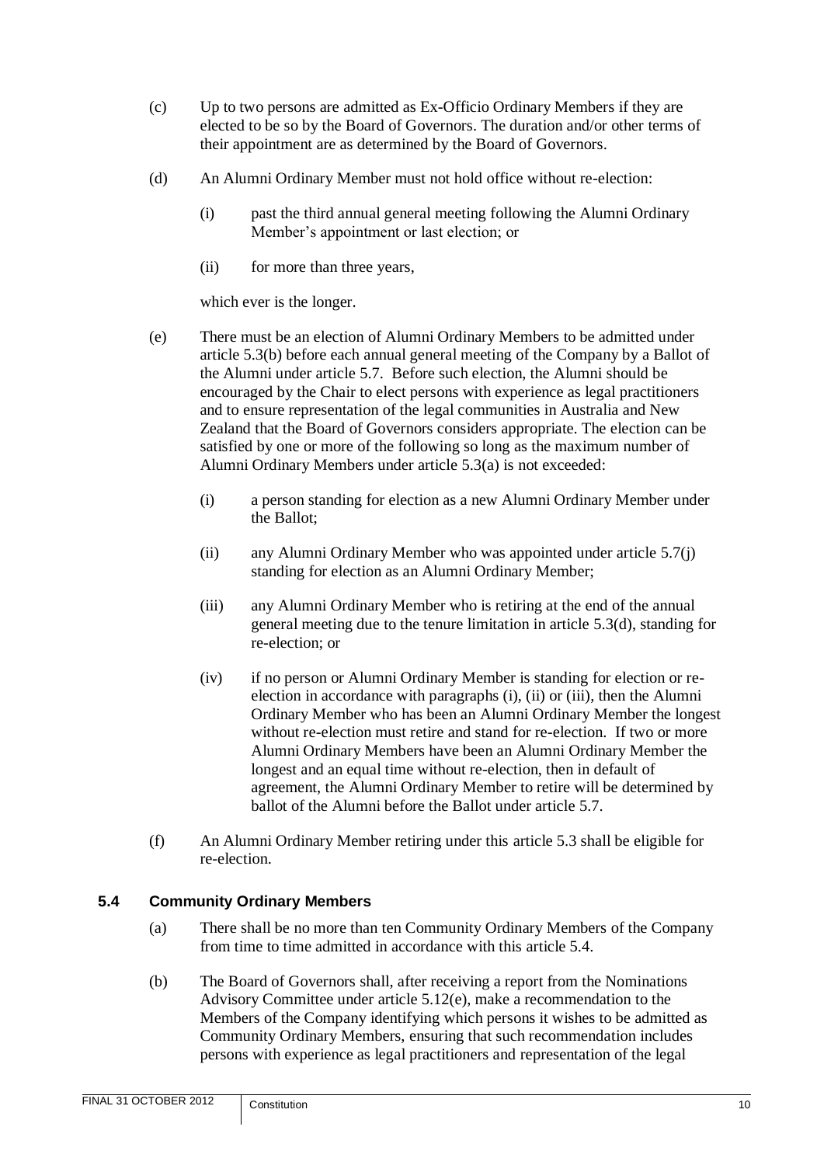- <span id="page-12-1"></span>(c) Up to two persons are admitted as Ex-Officio Ordinary Members if they are elected to be so by the Board of Governors. The duration and/or other terms of their appointment are as determined by the Board of Governors.
- <span id="page-12-2"></span>(d) An Alumni Ordinary Member must not hold office without re-election:
	- (i) past the third annual general meeting following the Alumni Ordinary Member's appointment or last election; or
	- (ii) for more than three years,

which ever is the longer.

- (e) There must be an election of Alumni Ordinary Members to be admitted under article [5.3\(b\)](#page-11-9) before each annual general meeting of the Company by a Ballot of the Alumni under article [5.7.](#page-15-0) Before such election, the Alumni should be encouraged by the Chair to elect persons with experience as legal practitioners and to ensure representation of the legal communities in Australia and New Zealand that the Board of Governors considers appropriate. The election can be satisfied by one or more of the following so long as the maximum number of Alumni Ordinary Members under article [5.3\(a\)](#page-11-10) is not exceeded:
	- (i) a person standing for election as a new Alumni Ordinary Member under the Ballot;
	- (ii) any Alumni Ordinary Member who was appointed under article [5.7\(j\)](#page-15-1) standing for election as an Alumni Ordinary Member;
	- (iii) any Alumni Ordinary Member who is retiring at the end of the annual general meeting due to the tenure limitation in article [5.3\(d\),](#page-12-2) standing for re-election; or
	- (iv) if no person or Alumni Ordinary Member is standing for election or reelection in accordance with paragraphs (i), (ii) or (iii), then the Alumni Ordinary Member who has been an Alumni Ordinary Member the longest without re-election must retire and stand for re-election. If two or more Alumni Ordinary Members have been an Alumni Ordinary Member the longest and an equal time without re-election, then in default of agreement, the Alumni Ordinary Member to retire will be determined by ballot of the Alumni before the Ballot under article [5.7.](#page-15-0)
- (f) An Alumni Ordinary Member retiring under this article [5.3](#page-11-8) shall be eligible for re-election.

# <span id="page-12-3"></span><span id="page-12-0"></span>**5.4 Community Ordinary Members**

- (a) There shall be no more than ten Community Ordinary Members of the Company from time to time admitted in accordance with this article [5.4.](#page-12-0)
- <span id="page-12-4"></span>(b) The Board of Governors shall, after receiving a report from the Nominations Advisory Committee under article [5.12\(e\),](#page-18-1) make a recommendation to the Members of the Company identifying which persons it wishes to be admitted as Community Ordinary Members, ensuring that such recommendation includes persons with experience as legal practitioners and representation of the legal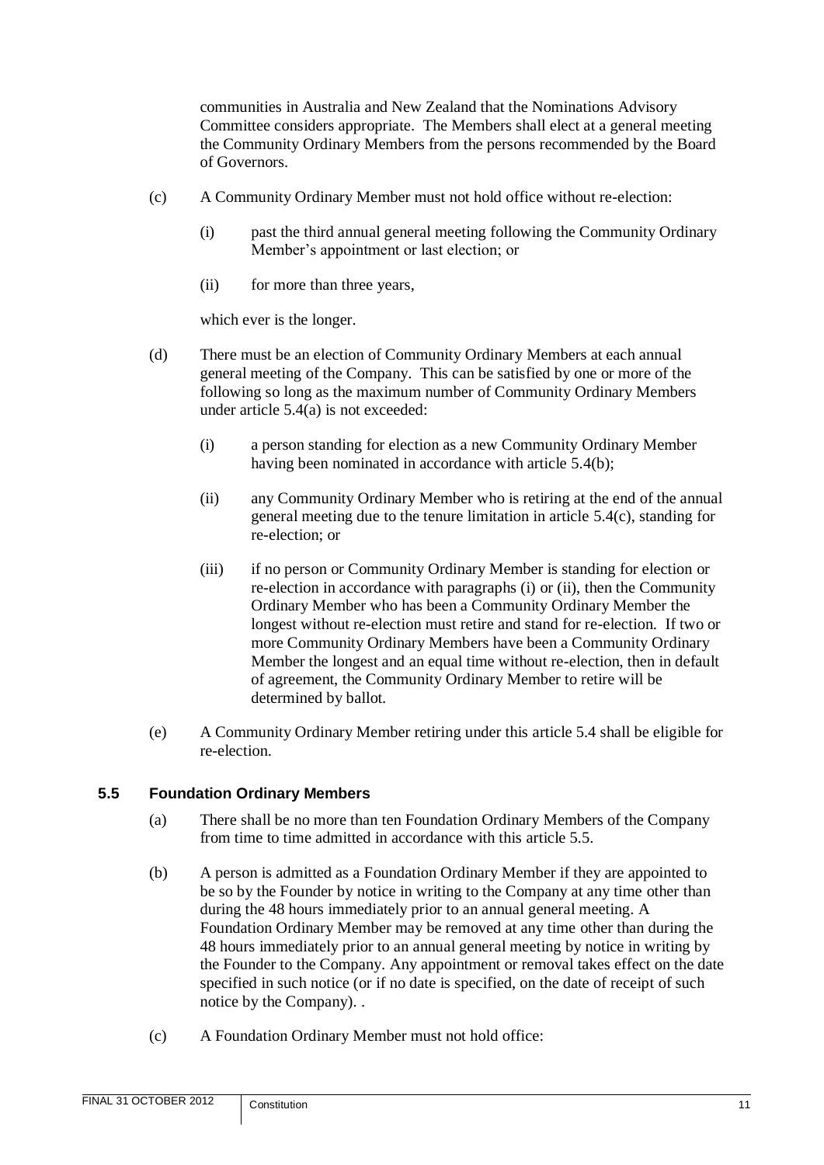communities in Australia and New Zealand that the Nominations Advisory Committee considers appropriate. The Members shall elect at a general meeting the Community Ordinary Members from the persons recommended by the Board of Governors.

- <span id="page-13-1"></span>(c) A Community Ordinary Member must not hold office without re-election:
	- (i) past the third annual general meeting following the Community Ordinary Member's appointment or last election; or
	- (ii) for more than three years,

which ever is the longer.

- (d) There must be an election of Community Ordinary Members at each annual general meeting of the Company. This can be satisfied by one or more of the following so long as the maximum number of Community Ordinary Members under article [5.4\(a\)](#page-12-3) is not exceeded:
	- (i) a person standing for election as a new Community Ordinary Member having been nominated in accordance with article [5.4\(b\);](#page-12-4)
	- (ii) any Community Ordinary Member who is retiring at the end of the annual general meeting due to the tenure limitation in article [5.4\(c\),](#page-13-1) standing for re-election; or
	- (iii) if no person or Community Ordinary Member is standing for election or re-election in accordance with paragraphs (i) or (ii), then the Community Ordinary Member who has been a Community Ordinary Member the longest without re-election must retire and stand for re-election. If two or more Community Ordinary Members have been a Community Ordinary Member the longest and an equal time without re-election, then in default of agreement, the Community Ordinary Member to retire will be determined by ballot.
- (e) A Community Ordinary Member retiring under this article [5.4](#page-12-0) shall be eligible for re-election.

# <span id="page-13-0"></span>**5.5 Foundation Ordinary Members**

- (a) There shall be no more than ten Foundation Ordinary Members of the Company from time to time admitted in accordance with this article [5.5.](#page-13-0)
- (b) A person is admitted as a Foundation Ordinary Member if they are appointed to be so by the Founder by notice in writing to the Company at any time other than during the 48 hours immediately prior to an annual general meeting. A Foundation Ordinary Member may be removed at any time other than during the 48 hours immediately prior to an annual general meeting by notice in writing by the Founder to the Company. Any appointment or removal takes effect on the date specified in such notice (or if no date is specified, on the date of receipt of such notice by the Company). .
- (c) A Foundation Ordinary Member must not hold office: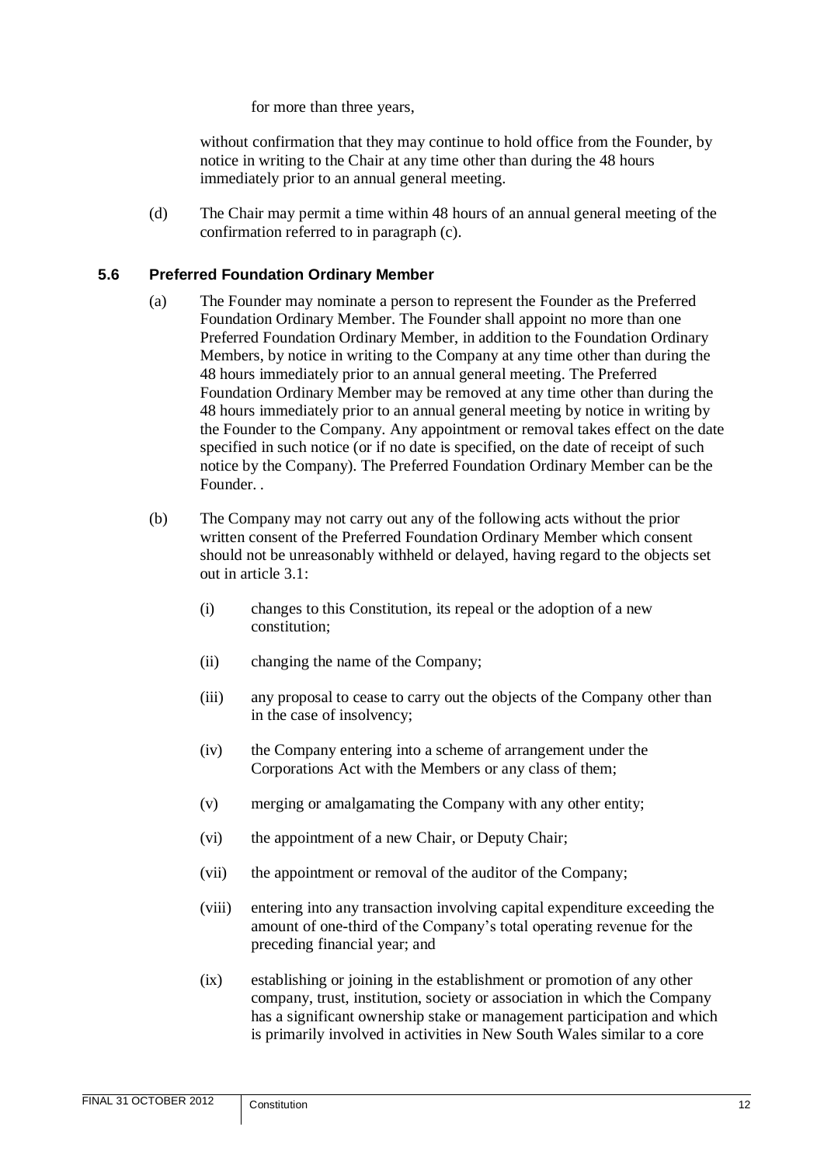for more than three years,

without confirmation that they may continue to hold office from the Founder, by notice in writing to the Chair at any time other than during the 48 hours immediately prior to an annual general meeting.

(d) The Chair may permit a time within 48 hours of an annual general meeting of the confirmation referred to in paragraph (c).

#### <span id="page-14-0"></span>**5.6 Preferred Foundation Ordinary Member**

- (a) The Founder may nominate a person to represent the Founder as the Preferred Foundation Ordinary Member. The Founder shall appoint no more than one Preferred Foundation Ordinary Member, in addition to the Foundation Ordinary Members, by notice in writing to the Company at any time other than during the 48 hours immediately prior to an annual general meeting. The Preferred Foundation Ordinary Member may be removed at any time other than during the 48 hours immediately prior to an annual general meeting by notice in writing by the Founder to the Company. Any appointment or removal takes effect on the date specified in such notice (or if no date is specified, on the date of receipt of such notice by the Company). The Preferred Foundation Ordinary Member can be the Founder. .
- (b) The Company may not carry out any of the following acts without the prior written consent of the Preferred Foundation Ordinary Member which consent should not be unreasonably withheld or delayed, having regard to the objects set out in article [3.1:](#page-7-1)
	- (i) changes to this Constitution, its repeal or the adoption of a new constitution;
	- (ii) changing the name of the Company;
	- (iii) any proposal to cease to carry out the objects of the Company other than in the case of insolvency;
	- (iv) the Company entering into a scheme of arrangement under the Corporations Act with the Members or any class of them;
	- (v) merging or amalgamating the Company with any other entity;
	- (vi) the appointment of a new Chair, or Deputy Chair;
	- (vii) the appointment or removal of the auditor of the Company;
	- (viii) entering into any transaction involving capital expenditure exceeding the amount of one-third of the Company's total operating revenue for the preceding financial year; and
	- (ix) establishing or joining in the establishment or promotion of any other company, trust, institution, society or association in which the Company has a significant ownership stake or management participation and which is primarily involved in activities in New South Wales similar to a core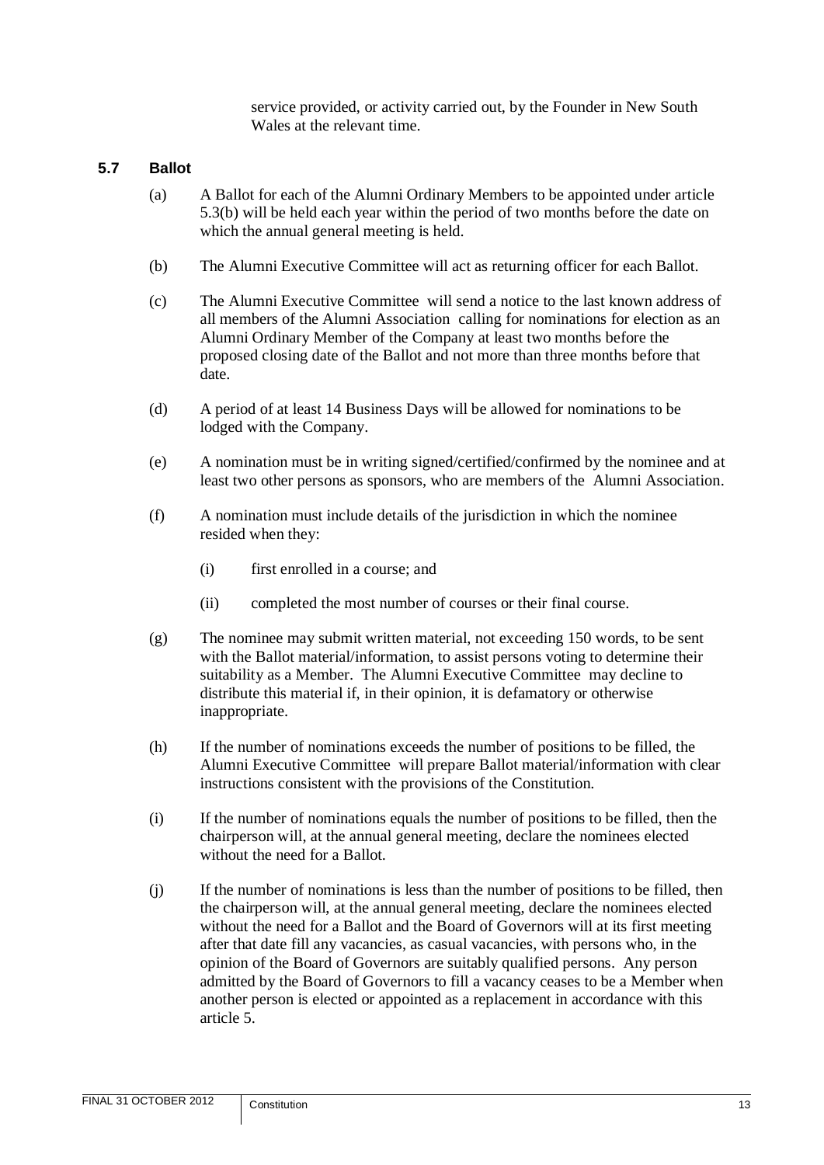service provided, or activity carried out, by the Founder in New South Wales at the relevant time.

#### <span id="page-15-0"></span>**5.7 Ballot**

- (a) A Ballot for each of the Alumni Ordinary Members to be appointed under article [5.3\(b\)](#page-11-9) will be held each year within the period of two months before the date on which the annual general meeting is held.
- (b) The Alumni Executive Committee will act as returning officer for each Ballot.
- (c) The Alumni Executive Committee will send a notice to the last known address of all members of the Alumni Association calling for nominations for election as an Alumni Ordinary Member of the Company at least two months before the proposed closing date of the Ballot and not more than three months before that date.
- (d) A period of at least 14 Business Days will be allowed for nominations to be lodged with the Company.
- (e) A nomination must be in writing signed/certified/confirmed by the nominee and at least two other persons as sponsors, who are members of the Alumni Association.
- (f) A nomination must include details of the jurisdiction in which the nominee resided when they:
	- (i) first enrolled in a course; and
	- (ii) completed the most number of courses or their final course.
- (g) The nominee may submit written material, not exceeding 150 words, to be sent with the Ballot material/information, to assist persons voting to determine their suitability as a Member. The Alumni Executive Committee may decline to distribute this material if, in their opinion, it is defamatory or otherwise inappropriate.
- (h) If the number of nominations exceeds the number of positions to be filled, the Alumni Executive Committee will prepare Ballot material/information with clear instructions consistent with the provisions of the Constitution.
- (i) If the number of nominations equals the number of positions to be filled, then the chairperson will, at the annual general meeting, declare the nominees elected without the need for a Ballot.
- <span id="page-15-1"></span>(j) If the number of nominations is less than the number of positions to be filled, then the chairperson will, at the annual general meeting, declare the nominees elected without the need for a Ballot and the Board of Governors will at its first meeting after that date fill any vacancies, as casual vacancies, with persons who, in the opinion of the Board of Governors are suitably qualified persons. Any person admitted by the Board of Governors to fill a vacancy ceases to be a Member when another person is elected or appointed as a replacement in accordance with this article [5.](#page-11-5)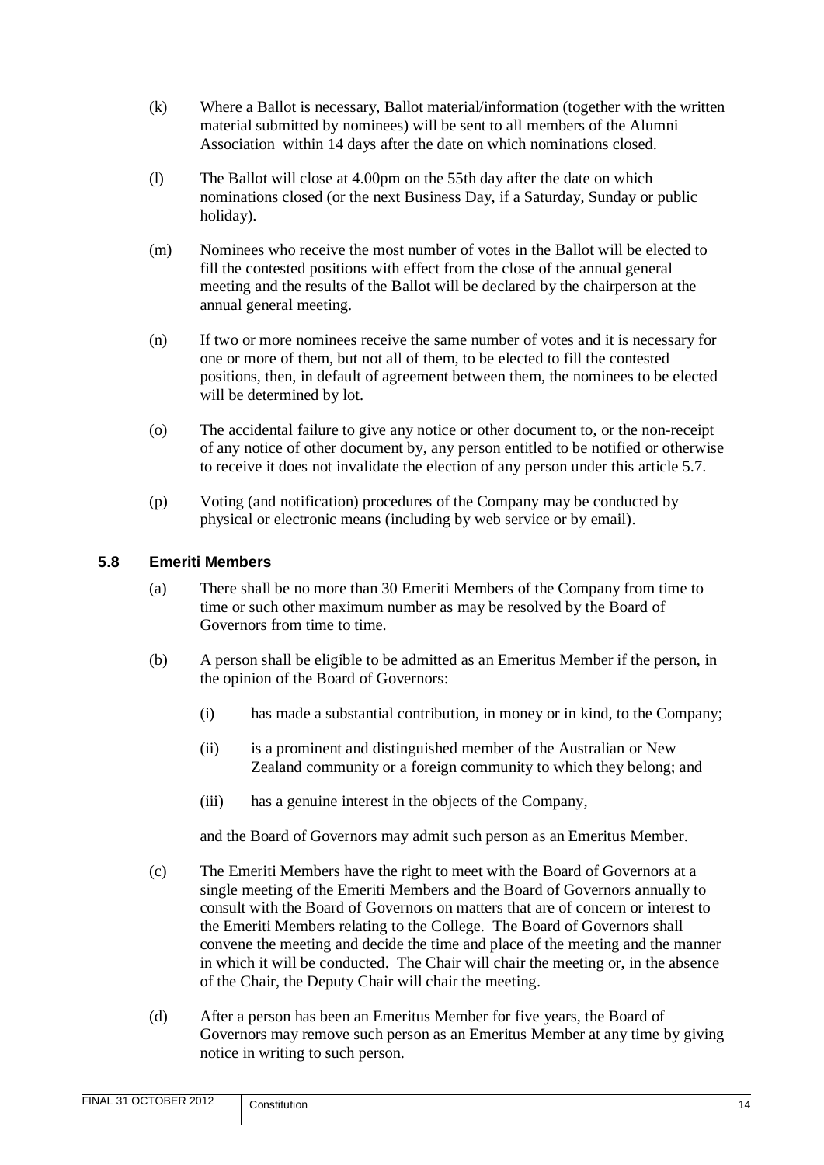- (k) Where a Ballot is necessary, Ballot material/information (together with the written material submitted by nominees) will be sent to all members of the Alumni Association within 14 days after the date on which nominations closed.
- (l) The Ballot will close at 4.00pm on the 55th day after the date on which nominations closed (or the next Business Day, if a Saturday, Sunday or public holiday).
- (m) Nominees who receive the most number of votes in the Ballot will be elected to fill the contested positions with effect from the close of the annual general meeting and the results of the Ballot will be declared by the chairperson at the annual general meeting.
- (n) If two or more nominees receive the same number of votes and it is necessary for one or more of them, but not all of them, to be elected to fill the contested positions, then, in default of agreement between them, the nominees to be elected will be determined by lot.
- (o) The accidental failure to give any notice or other document to, or the non-receipt of any notice of other document by, any person entitled to be notified or otherwise to receive it does not invalidate the election of any person under this article [5.7.](#page-15-0)
- (p) Voting (and notification) procedures of the Company may be conducted by physical or electronic means (including by web service or by email).

# <span id="page-16-0"></span>**5.8 Emeriti Members**

- (a) There shall be no more than 30 Emeriti Members of the Company from time to time or such other maximum number as may be resolved by the Board of Governors from time to time.
- (b) A person shall be eligible to be admitted as an Emeritus Member if the person, in the opinion of the Board of Governors:
	- (i) has made a substantial contribution, in money or in kind, to the Company;
	- (ii) is a prominent and distinguished member of the Australian or New Zealand community or a foreign community to which they belong; and
	- (iii) has a genuine interest in the objects of the Company,

and the Board of Governors may admit such person as an Emeritus Member.

- (c) The Emeriti Members have the right to meet with the Board of Governors at a single meeting of the Emeriti Members and the Board of Governors annually to consult with the Board of Governors on matters that are of concern or interest to the Emeriti Members relating to the College. The Board of Governors shall convene the meeting and decide the time and place of the meeting and the manner in which it will be conducted. The Chair will chair the meeting or, in the absence of the Chair, the Deputy Chair will chair the meeting.
- (d) After a person has been an Emeritus Member for five years, the Board of Governors may remove such person as an Emeritus Member at any time by giving notice in writing to such person.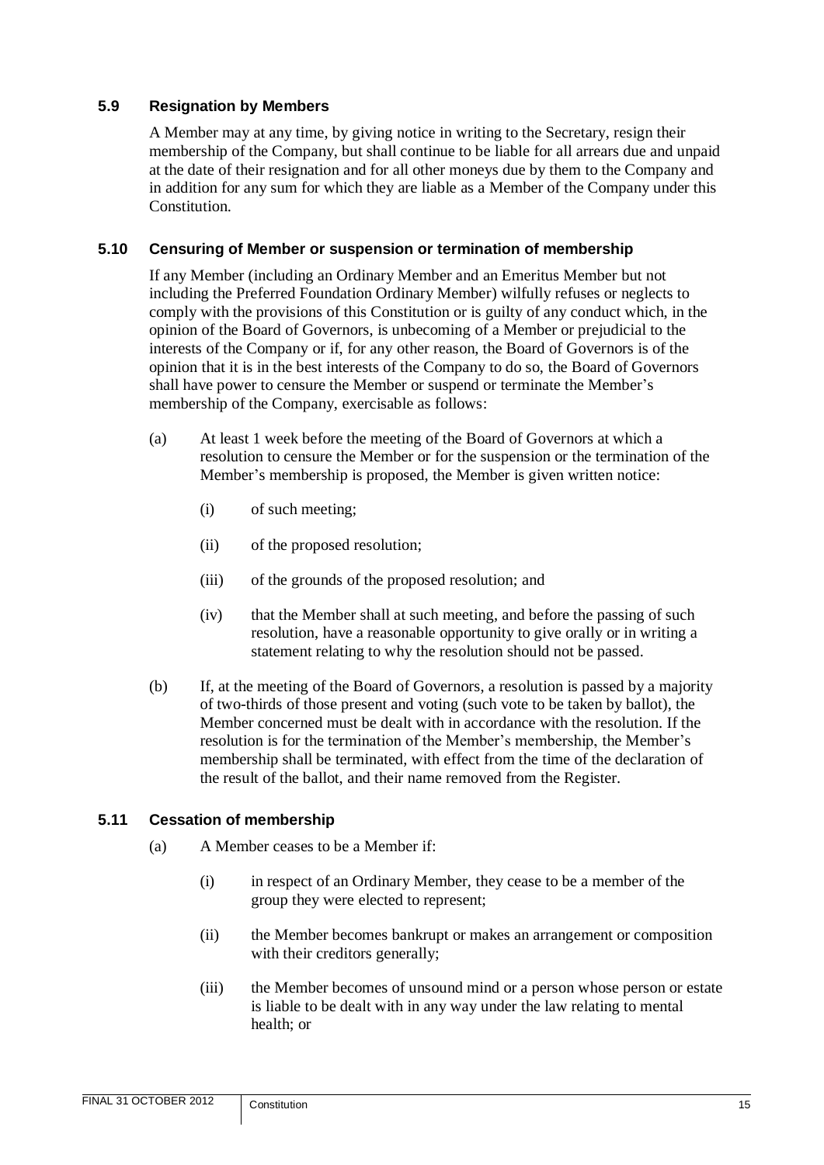#### <span id="page-17-0"></span>**5.9 Resignation by Members**

A Member may at any time, by giving notice in writing to the Secretary, resign their membership of the Company, but shall continue to be liable for all arrears due and unpaid at the date of their resignation and for all other moneys due by them to the Company and in addition for any sum for which they are liable as a Member of the Company under this Constitution.

#### <span id="page-17-1"></span>**5.10 Censuring of Member or suspension or termination of membership**

If any Member (including an Ordinary Member and an Emeritus Member but not including the Preferred Foundation Ordinary Member) wilfully refuses or neglects to comply with the provisions of this Constitution or is guilty of any conduct which, in the opinion of the Board of Governors, is unbecoming of a Member or prejudicial to the interests of the Company or if, for any other reason, the Board of Governors is of the opinion that it is in the best interests of the Company to do so, the Board of Governors shall have power to censure the Member or suspend or terminate the Member's membership of the Company, exercisable as follows:

- (a) At least 1 week before the meeting of the Board of Governors at which a resolution to censure the Member or for the suspension or the termination of the Member's membership is proposed, the Member is given written notice:
	- (i) of such meeting;
	- (ii) of the proposed resolution;
	- (iii) of the grounds of the proposed resolution; and
	- (iv) that the Member shall at such meeting, and before the passing of such resolution, have a reasonable opportunity to give orally or in writing a statement relating to why the resolution should not be passed.
- (b) If, at the meeting of the Board of Governors, a resolution is passed by a majority of two-thirds of those present and voting (such vote to be taken by ballot), the Member concerned must be dealt with in accordance with the resolution. If the resolution is for the termination of the Member's membership, the Member's membership shall be terminated, with effect from the time of the declaration of the result of the ballot, and their name removed from the Register.

#### <span id="page-17-2"></span>**5.11 Cessation of membership**

- (a) A Member ceases to be a Member if:
	- (i) in respect of an Ordinary Member, they cease to be a member of the group they were elected to represent;
	- (ii) the Member becomes bankrupt or makes an arrangement or composition with their creditors generally;
	- (iii) the Member becomes of unsound mind or a person whose person or estate is liable to be dealt with in any way under the law relating to mental health; or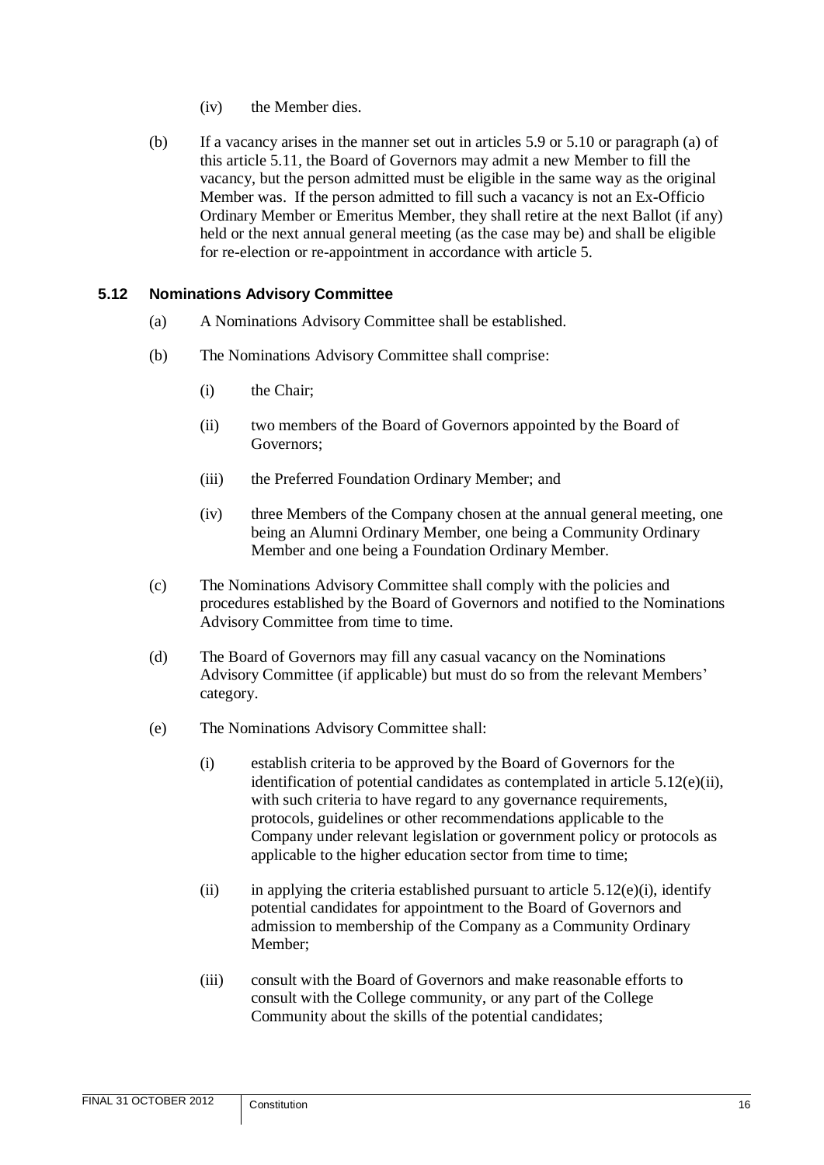- (iv) the Member dies.
- (b) If a vacancy arises in the manner set out in articles [5.9](#page-17-0) or [5.10](#page-17-1) or paragraph (a) of this article [5.11,](#page-17-2) the Board of Governors may admit a new Member to fill the vacancy, but the person admitted must be eligible in the same way as the original Member was. If the person admitted to fill such a vacancy is not an Ex-Officio Ordinary Member or Emeritus Member, they shall retire at the next Ballot (if any) held or the next annual general meeting (as the case may be) and shall be eligible for re-election or re-appointment in accordance with article [5.](#page-11-5)

#### <span id="page-18-0"></span>**5.12 Nominations Advisory Committee**

- (a) A Nominations Advisory Committee shall be established.
- (b) The Nominations Advisory Committee shall comprise:
	- (i) the Chair;
	- (ii) two members of the Board of Governors appointed by the Board of Governors;
	- (iii) the Preferred Foundation Ordinary Member; and
	- (iv) three Members of the Company chosen at the annual general meeting, one being an Alumni Ordinary Member, one being a Community Ordinary Member and one being a Foundation Ordinary Member.
- (c) The Nominations Advisory Committee shall comply with the policies and procedures established by the Board of Governors and notified to the Nominations Advisory Committee from time to time.
- (d) The Board of Governors may fill any casual vacancy on the Nominations Advisory Committee (if applicable) but must do so from the relevant Members' category.
- <span id="page-18-3"></span><span id="page-18-2"></span><span id="page-18-1"></span>(e) The Nominations Advisory Committee shall:
	- (i) establish criteria to be approved by the Board of Governors for the identification of potential candidates as contemplated in article [5.12\(e\)\(ii\),](#page-18-2) with such criteria to have regard to any governance requirements, protocols, guidelines or other recommendations applicable to the Company under relevant legislation or government policy or protocols as applicable to the higher education sector from time to time;
	- (ii) in applying the criteria established pursuant to article  $5.12(e)(i)$ , identify potential candidates for appointment to the Board of Governors and admission to membership of the Company as a Community Ordinary Member;
	- (iii) consult with the Board of Governors and make reasonable efforts to consult with the College community, or any part of the College Community about the skills of the potential candidates;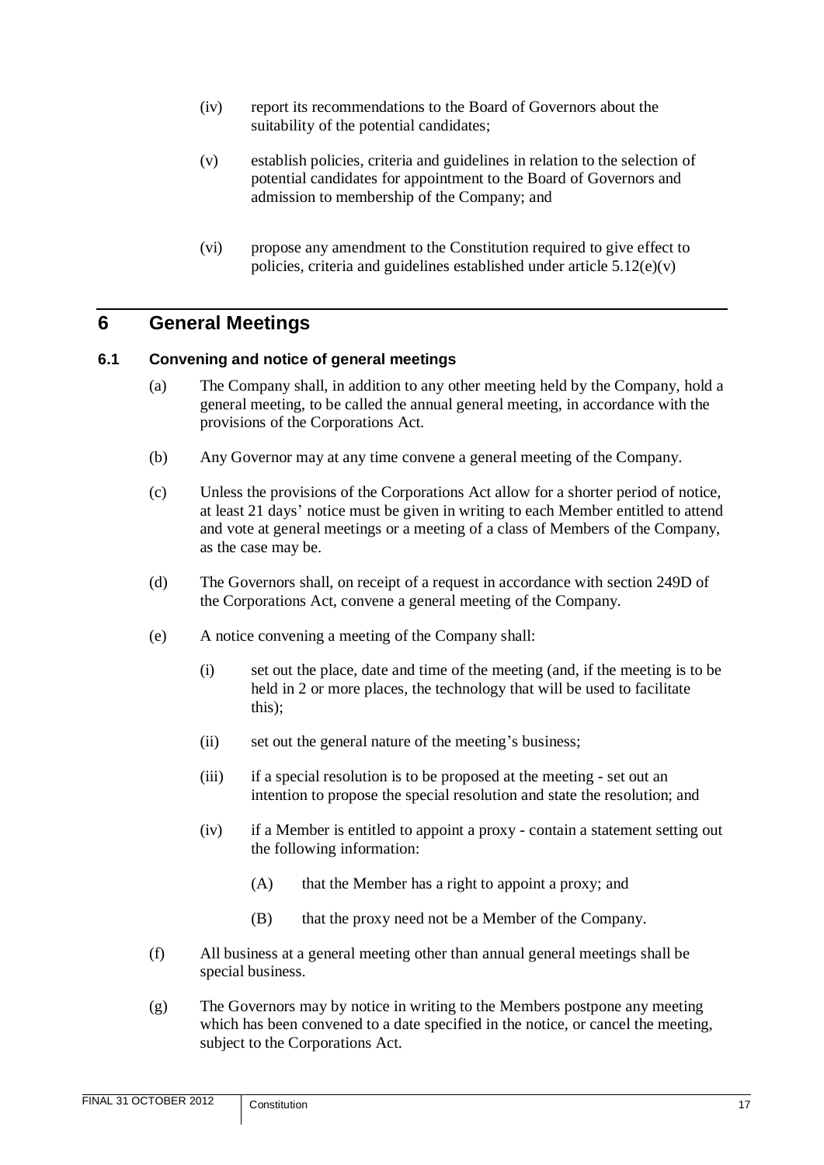- (iv) report its recommendations to the Board of Governors about the suitability of the potential candidates;
- (v) establish policies, criteria and guidelines in relation to the selection of potential candidates for appointment to the Board of Governors and admission to membership of the Company; and
- (vi) propose any amendment to the Constitution required to give effect to policies, criteria and guidelines established under article  $5.12(e)(v)$

# <span id="page-19-0"></span>**6 General Meetings**

#### <span id="page-19-1"></span>**6.1 Convening and notice of general meetings**

- (a) The Company shall, in addition to any other meeting held by the Company, hold a general meeting, to be called the annual general meeting, in accordance with the provisions of the Corporations Act.
- (b) Any Governor may at any time convene a general meeting of the Company.
- (c) Unless the provisions of the Corporations Act allow for a shorter period of notice, at least 21 days' notice must be given in writing to each Member entitled to attend and vote at general meetings or a meeting of a class of Members of the Company, as the case may be.
- (d) The Governors shall, on receipt of a request in accordance with section 249D of the Corporations Act, convene a general meeting of the Company.
- (e) A notice convening a meeting of the Company shall:
	- (i) set out the place, date and time of the meeting (and, if the meeting is to be held in 2 or more places, the technology that will be used to facilitate this);
	- (ii) set out the general nature of the meeting's business;
	- (iii) if a special resolution is to be proposed at the meeting set out an intention to propose the special resolution and state the resolution; and
	- (iv) if a Member is entitled to appoint a proxy contain a statement setting out the following information:
		- (A) that the Member has a right to appoint a proxy; and
		- (B) that the proxy need not be a Member of the Company.
- (f) All business at a general meeting other than annual general meetings shall be special business.
- (g) The Governors may by notice in writing to the Members postpone any meeting which has been convened to a date specified in the notice, or cancel the meeting, subject to the Corporations Act.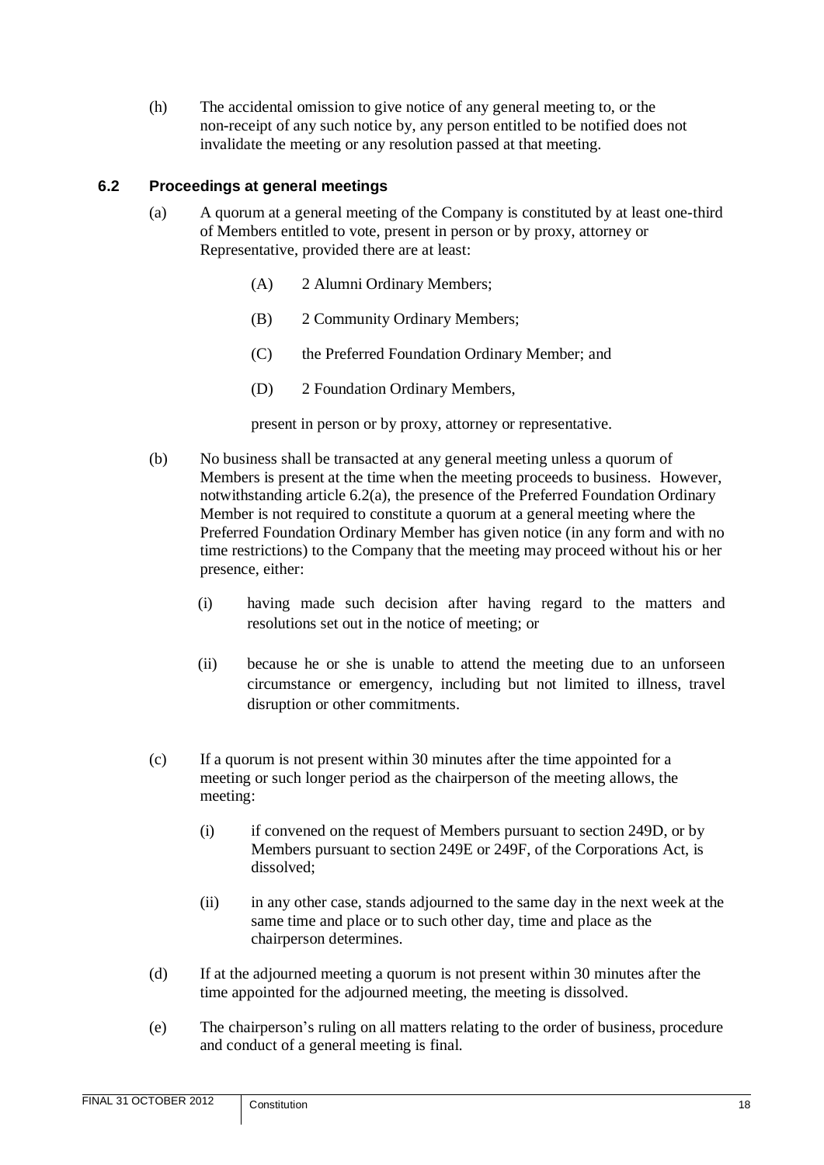(h) The accidental omission to give notice of any general meeting to, or the non-receipt of any such notice by, any person entitled to be notified does not invalidate the meeting or any resolution passed at that meeting.

# <span id="page-20-0"></span>**6.2 Proceedings at general meetings**

- (a) A quorum at a general meeting of the Company is constituted by at least one-third of Members entitled to vote, present in person or by proxy, attorney or Representative, provided there are at least:
	- (A) 2 Alumni Ordinary Members;
	- (B) 2 Community Ordinary Members;
	- (C) the Preferred Foundation Ordinary Member; and
	- (D) 2 Foundation Ordinary Members,

present in person or by proxy, attorney or representative.

- (b) No business shall be transacted at any general meeting unless a quorum of Members is present at the time when the meeting proceeds to business. However, notwithstanding article 6.2(a), the presence of the Preferred Foundation Ordinary Member is not required to constitute a quorum at a general meeting where the Preferred Foundation Ordinary Member has given notice (in any form and with no time restrictions) to the Company that the meeting may proceed without his or her presence, either:
	- (i) having made such decision after having regard to the matters and resolutions set out in the notice of meeting; or
	- (ii) because he or she is unable to attend the meeting due to an unforseen circumstance or emergency, including but not limited to illness, travel disruption or other commitments.
- (c) If a quorum is not present within 30 minutes after the time appointed for a meeting or such longer period as the chairperson of the meeting allows, the meeting:
	- (i) if convened on the request of Members pursuant to section 249D, or by Members pursuant to section 249E or 249F, of the Corporations Act, is dissolved;
	- (ii) in any other case, stands adjourned to the same day in the next week at the same time and place or to such other day, time and place as the chairperson determines.
- (d) If at the adjourned meeting a quorum is not present within 30 minutes after the time appointed for the adjourned meeting, the meeting is dissolved.
- (e) The chairperson's ruling on all matters relating to the order of business, procedure and conduct of a general meeting is final.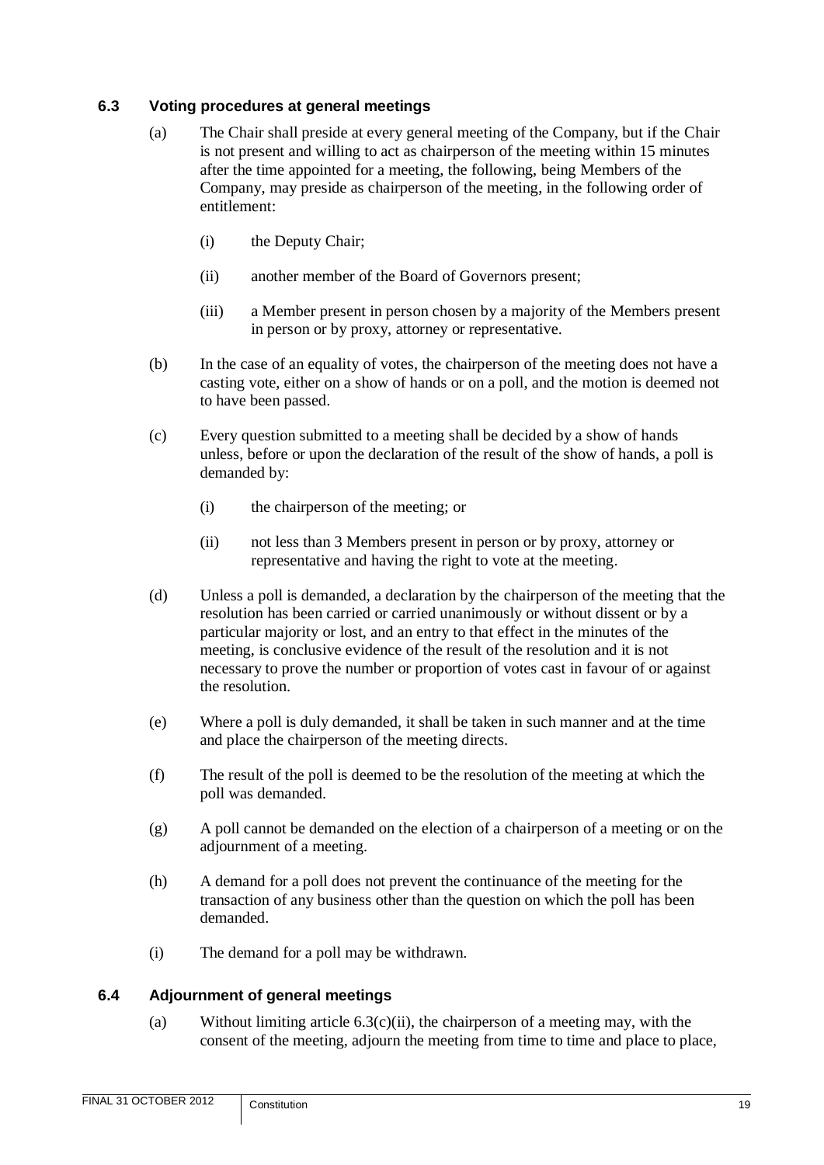#### <span id="page-21-0"></span>**6.3 Voting procedures at general meetings**

- (a) The Chair shall preside at every general meeting of the Company, but if the Chair is not present and willing to act as chairperson of the meeting within 15 minutes after the time appointed for a meeting, the following, being Members of the Company, may preside as chairperson of the meeting, in the following order of entitlement:
	- (i) the Deputy Chair;
	- (ii) another member of the Board of Governors present;
	- (iii) a Member present in person chosen by a majority of the Members present in person or by proxy, attorney or representative.
- (b) In the case of an equality of votes, the chairperson of the meeting does not have a casting vote, either on a show of hands or on a poll, and the motion is deemed not to have been passed.
- (c) Every question submitted to a meeting shall be decided by a show of hands unless, before or upon the declaration of the result of the show of hands, a poll is demanded by:
	- (i) the chairperson of the meeting; or
	- (ii) not less than 3 Members present in person or by proxy, attorney or representative and having the right to vote at the meeting.
- <span id="page-21-2"></span>(d) Unless a poll is demanded, a declaration by the chairperson of the meeting that the resolution has been carried or carried unanimously or without dissent or by a particular majority or lost, and an entry to that effect in the minutes of the meeting, is conclusive evidence of the result of the resolution and it is not necessary to prove the number or proportion of votes cast in favour of or against the resolution.
- (e) Where a poll is duly demanded, it shall be taken in such manner and at the time and place the chairperson of the meeting directs.
- (f) The result of the poll is deemed to be the resolution of the meeting at which the poll was demanded.
- (g) A poll cannot be demanded on the election of a chairperson of a meeting or on the adjournment of a meeting.
- (h) A demand for a poll does not prevent the continuance of the meeting for the transaction of any business other than the question on which the poll has been demanded.
- (i) The demand for a poll may be withdrawn.

# <span id="page-21-1"></span>**6.4 Adjournment of general meetings**

(a) Without limiting article  $6.3(c)(ii)$ , the chairperson of a meeting may, with the consent of the meeting, adjourn the meeting from time to time and place to place,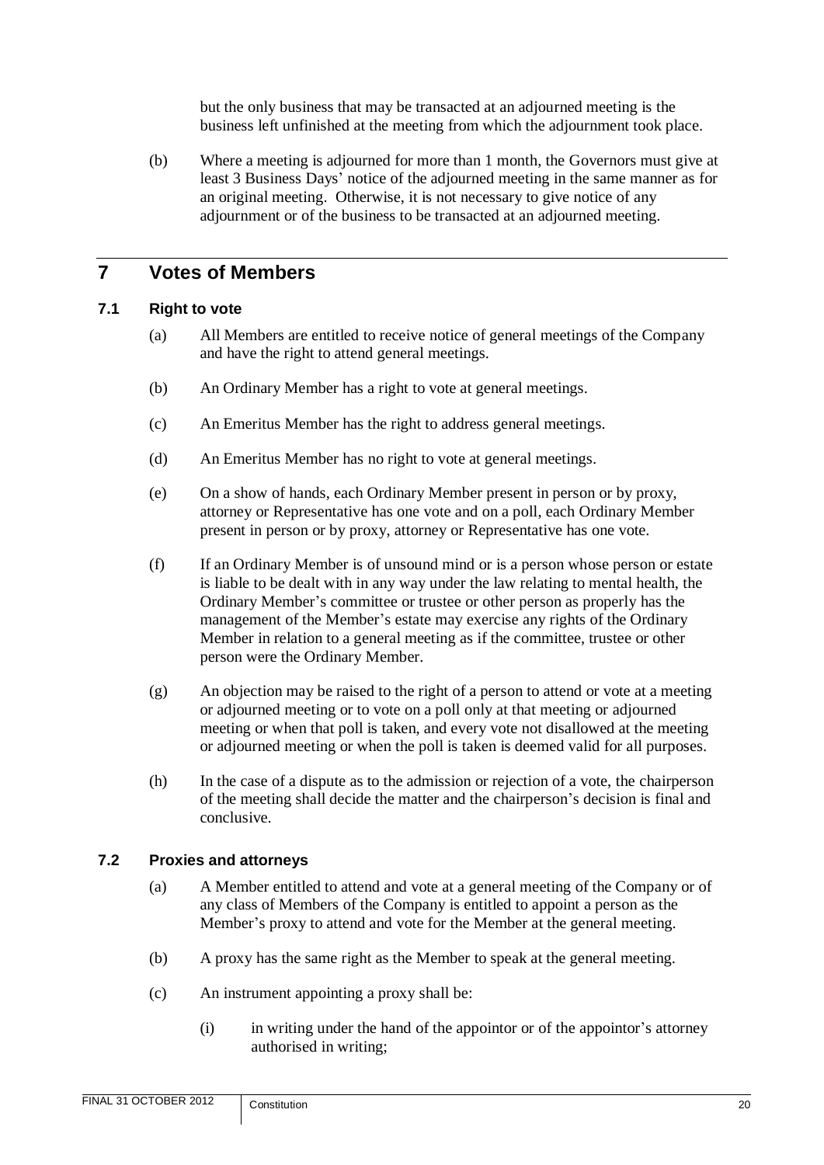but the only business that may be transacted at an adjourned meeting is the business left unfinished at the meeting from which the adjournment took place.

(b) Where a meeting is adjourned for more than 1 month, the Governors must give at least 3 Business Days' notice of the adjourned meeting in the same manner as for an original meeting. Otherwise, it is not necessary to give notice of any adjournment or of the business to be transacted at an adjourned meeting.

# <span id="page-22-0"></span>**7 Votes of Members**

#### <span id="page-22-1"></span>**7.1 Right to vote**

- (a) All Members are entitled to receive notice of general meetings of the Company and have the right to attend general meetings.
- (b) An Ordinary Member has a right to vote at general meetings.
- (c) An Emeritus Member has the right to address general meetings.
- (d) An Emeritus Member has no right to vote at general meetings.
- (e) On a show of hands, each Ordinary Member present in person or by proxy, attorney or Representative has one vote and on a poll, each Ordinary Member present in person or by proxy, attorney or Representative has one vote.
- (f) If an Ordinary Member is of unsound mind or is a person whose person or estate is liable to be dealt with in any way under the law relating to mental health, the Ordinary Member's committee or trustee or other person as properly has the management of the Member's estate may exercise any rights of the Ordinary Member in relation to a general meeting as if the committee, trustee or other person were the Ordinary Member.
- (g) An objection may be raised to the right of a person to attend or vote at a meeting or adjourned meeting or to vote on a poll only at that meeting or adjourned meeting or when that poll is taken, and every vote not disallowed at the meeting or adjourned meeting or when the poll is taken is deemed valid for all purposes.
- (h) In the case of a dispute as to the admission or rejection of a vote, the chairperson of the meeting shall decide the matter and the chairperson's decision is final and conclusive.

# <span id="page-22-2"></span>**7.2 Proxies and attorneys**

- (a) A Member entitled to attend and vote at a general meeting of the Company or of any class of Members of the Company is entitled to appoint a person as the Member's proxy to attend and vote for the Member at the general meeting.
- (b) A proxy has the same right as the Member to speak at the general meeting.
- (c) An instrument appointing a proxy shall be:
	- (i) in writing under the hand of the appointor or of the appointor's attorney authorised in writing;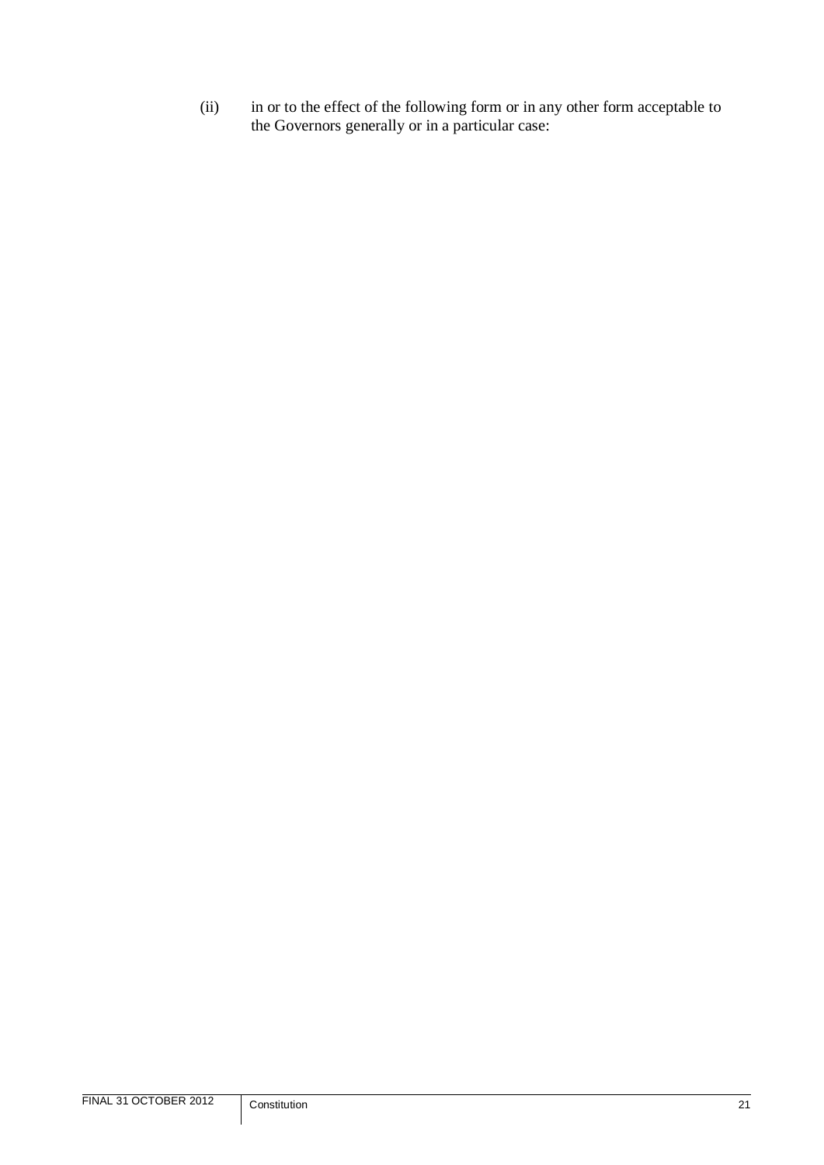(ii) in or to the effect of the following form or in any other form acceptable to the Governors generally or in a particular case: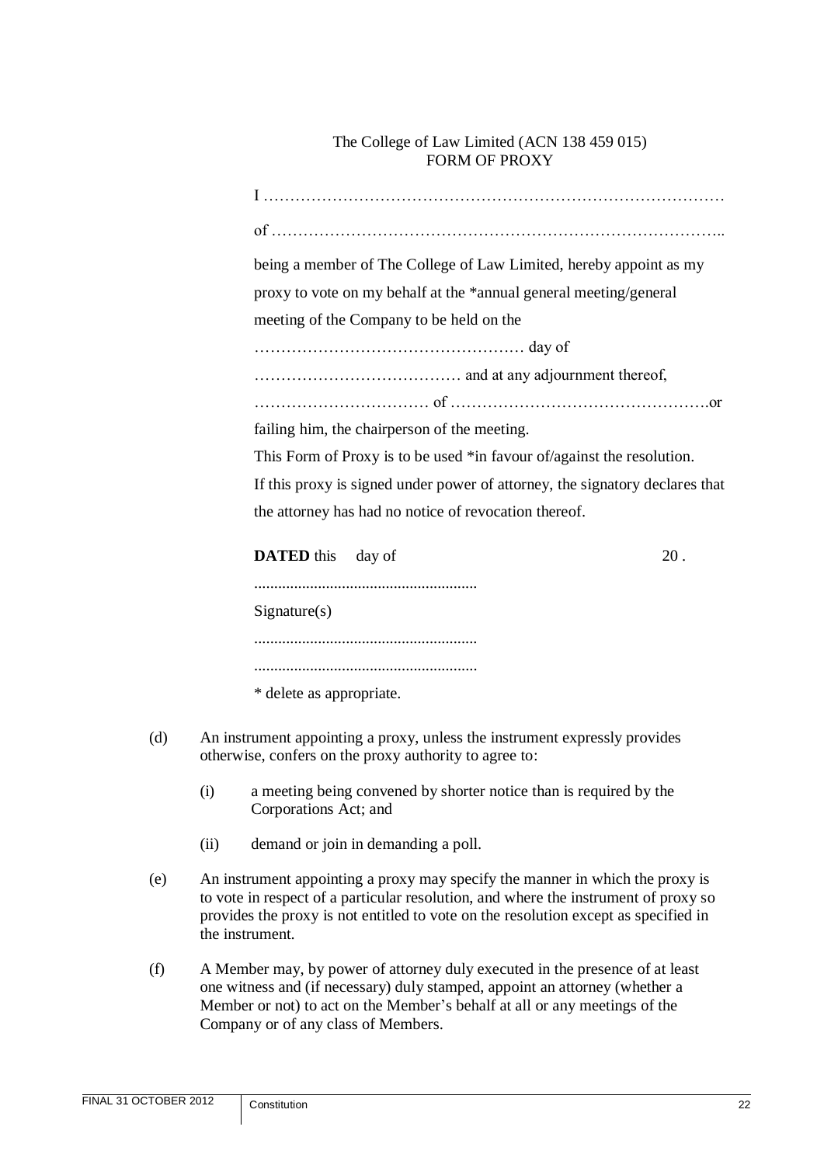#### The College of Law Limited (ACN 138 459 015) FORM OF PROXY

I …………………………………………………………………………… of ………………………………………………………………………….. being a member of The College of Law Limited, hereby appoint as my proxy to vote on my behalf at the \*annual general meeting/general meeting of the Company to be held on the …………………………………………… day of ………………………………… and at any adjournment thereof, …………………………… of ………………………………………….or failing him, the chairperson of the meeting. This Form of Proxy is to be used \*in favour of/against the resolution. If this proxy is signed under power of attorney, the signatory declares that the attorney has had no notice of revocation thereof. **DATED** this day of 20. ........................................................ Signature(s) ........................................................ ........................................................ \* delete as appropriate.

- (d) An instrument appointing a proxy, unless the instrument expressly provides otherwise, confers on the proxy authority to agree to:
	- (i) a meeting being convened by shorter notice than is required by the Corporations Act; and
	- (ii) demand or join in demanding a poll.
- (e) An instrument appointing a proxy may specify the manner in which the proxy is to vote in respect of a particular resolution, and where the instrument of proxy so provides the proxy is not entitled to vote on the resolution except as specified in the instrument.
- (f) A Member may, by power of attorney duly executed in the presence of at least one witness and (if necessary) duly stamped, appoint an attorney (whether a Member or not) to act on the Member's behalf at all or any meetings of the Company or of any class of Members.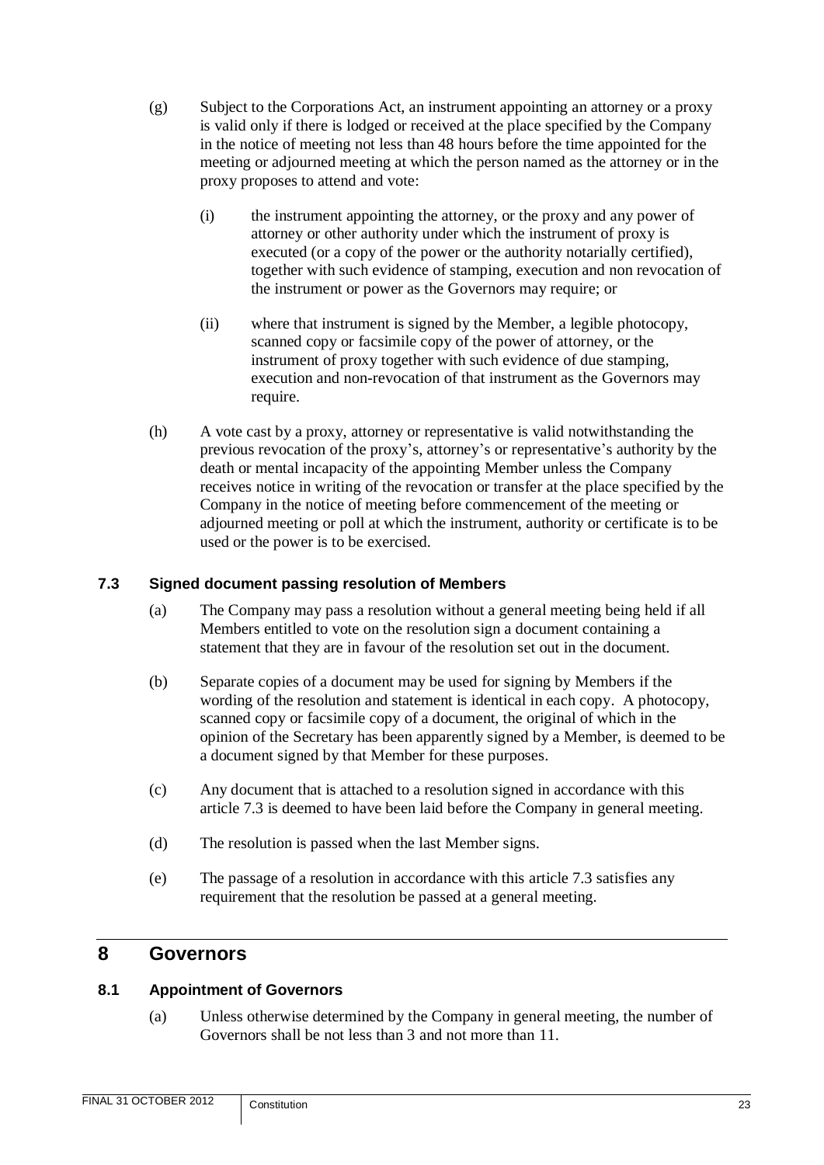- (g) Subject to the Corporations Act, an instrument appointing an attorney or a proxy is valid only if there is lodged or received at the place specified by the Company in the notice of meeting not less than 48 hours before the time appointed for the meeting or adjourned meeting at which the person named as the attorney or in the proxy proposes to attend and vote:
	- (i) the instrument appointing the attorney, or the proxy and any power of attorney or other authority under which the instrument of proxy is executed (or a copy of the power or the authority notarially certified), together with such evidence of stamping, execution and non revocation of the instrument or power as the Governors may require; or
	- (ii) where that instrument is signed by the Member, a legible photocopy, scanned copy or facsimile copy of the power of attorney, or the instrument of proxy together with such evidence of due stamping, execution and non-revocation of that instrument as the Governors may require.
- (h) A vote cast by a proxy, attorney or representative is valid notwithstanding the previous revocation of the proxy's, attorney's or representative's authority by the death or mental incapacity of the appointing Member unless the Company receives notice in writing of the revocation or transfer at the place specified by the Company in the notice of meeting before commencement of the meeting or adjourned meeting or poll at which the instrument, authority or certificate is to be used or the power is to be exercised.

# <span id="page-25-0"></span>**7.3 Signed document passing resolution of Members**

- (a) The Company may pass a resolution without a general meeting being held if all Members entitled to vote on the resolution sign a document containing a statement that they are in favour of the resolution set out in the document.
- (b) Separate copies of a document may be used for signing by Members if the wording of the resolution and statement is identical in each copy. A photocopy, scanned copy or facsimile copy of a document, the original of which in the opinion of the Secretary has been apparently signed by a Member, is deemed to be a document signed by that Member for these purposes.
- (c) Any document that is attached to a resolution signed in accordance with this article [7.3](#page-25-0) is deemed to have been laid before the Company in general meeting.
- (d) The resolution is passed when the last Member signs.
- (e) The passage of a resolution in accordance with this article [7.3](#page-25-0) satisfies any requirement that the resolution be passed at a general meeting.

# <span id="page-25-1"></span>**8 Governors**

#### <span id="page-25-2"></span>**8.1 Appointment of Governors**

(a) Unless otherwise determined by the Company in general meeting, the number of Governors shall be not less than 3 and not more than 11.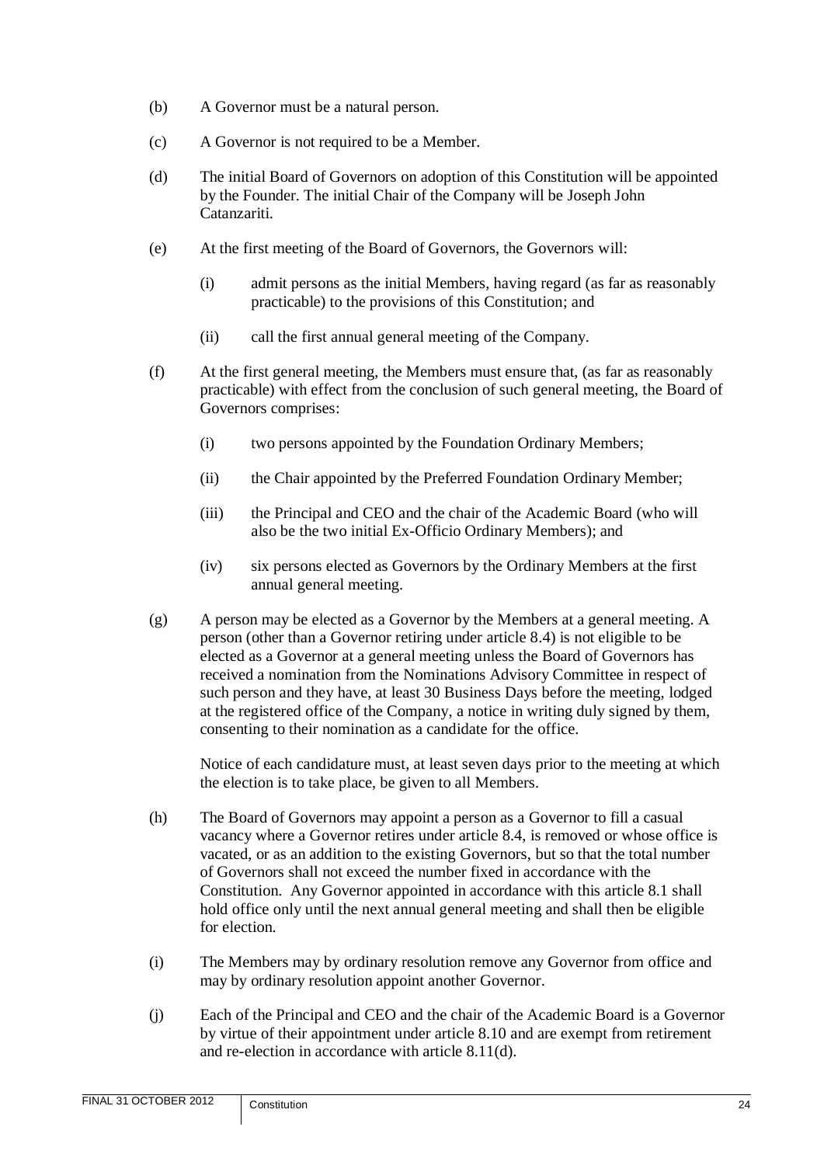- (b) A Governor must be a natural person.
- (c) A Governor is not required to be a Member.
- (d) The initial Board of Governors on adoption of this Constitution will be appointed by the Founder. The initial Chair of the Company will be Joseph John Catanzariti.
- (e) At the first meeting of the Board of Governors, the Governors will:
	- (i) admit persons as the initial Members, having regard (as far as reasonably practicable) to the provisions of this Constitution; and
	- (ii) call the first annual general meeting of the Company.
- (f) At the first general meeting, the Members must ensure that, (as far as reasonably practicable) with effect from the conclusion of such general meeting, the Board of Governors comprises:
	- (i) two persons appointed by the Foundation Ordinary Members;
	- (ii) the Chair appointed by the Preferred Foundation Ordinary Member;
	- (iii) the Principal and CEO and the chair of the Academic Board (who will also be the two initial Ex-Officio Ordinary Members); and
	- (iv) six persons elected as Governors by the Ordinary Members at the first annual general meeting.
- <span id="page-26-0"></span>(g) A person may be elected as a Governor by the Members at a general meeting. A person (other than a Governor retiring under article [8.4\)](#page-27-2) is not eligible to be elected as a Governor at a general meeting unless the Board of Governors has received a nomination from the Nominations Advisory Committee in respect of such person and they have, at least 30 Business Days before the meeting, lodged at the registered office of the Company, a notice in writing duly signed by them, consenting to their nomination as a candidate for the office.

Notice of each candidature must, at least seven days prior to the meeting at which the election is to take place, be given to all Members.

- <span id="page-26-1"></span>(h) The Board of Governors may appoint a person as a Governor to fill a casual vacancy where a Governor retires under article [8.4,](#page-27-2) is removed or whose office is vacated, or as an addition to the existing Governors, but so that the total number of Governors shall not exceed the number fixed in accordance with the Constitution. Any Governor appointed in accordance with this article [8.1](#page-25-2) shall hold office only until the next annual general meeting and shall then be eligible for election.
- (i) The Members may by ordinary resolution remove any Governor from office and may by ordinary resolution appoint another Governor.
- (j) Each of the Principal and CEO and the chair of the Academic Board is a Governor by virtue of their appointment under article [8.10](#page-31-1) and are exempt from retirement and re-election in accordance with article [8.11\(d\).](#page-32-4)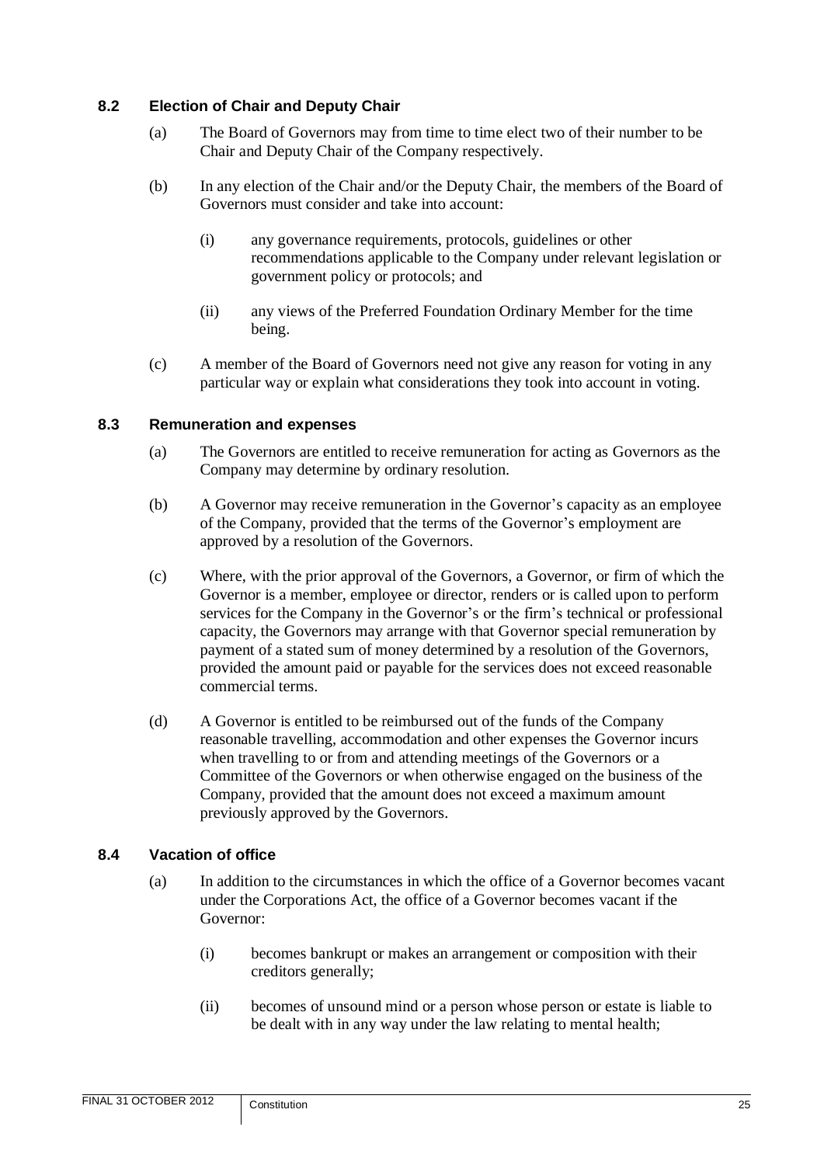#### <span id="page-27-0"></span>**8.2 Election of Chair and Deputy Chair**

- (a) The Board of Governors may from time to time elect two of their number to be Chair and Deputy Chair of the Company respectively.
- (b) In any election of the Chair and/or the Deputy Chair, the members of the Board of Governors must consider and take into account:
	- (i) any governance requirements, protocols, guidelines or other recommendations applicable to the Company under relevant legislation or government policy or protocols; and
	- (ii) any views of the Preferred Foundation Ordinary Member for the time being.
- (c) A member of the Board of Governors need not give any reason for voting in any particular way or explain what considerations they took into account in voting.

#### <span id="page-27-1"></span>**8.3 Remuneration and expenses**

- (a) The Governors are entitled to receive remuneration for acting as Governors as the Company may determine by ordinary resolution.
- (b) A Governor may receive remuneration in the Governor's capacity as an employee of the Company, provided that the terms of the Governor's employment are approved by a resolution of the Governors.
- (c) Where, with the prior approval of the Governors, a Governor, or firm of which the Governor is a member, employee or director, renders or is called upon to perform services for the Company in the Governor's or the firm's technical or professional capacity, the Governors may arrange with that Governor special remuneration by payment of a stated sum of money determined by a resolution of the Governors, provided the amount paid or payable for the services does not exceed reasonable commercial terms.
- (d) A Governor is entitled to be reimbursed out of the funds of the Company reasonable travelling, accommodation and other expenses the Governor incurs when travelling to or from and attending meetings of the Governors or a Committee of the Governors or when otherwise engaged on the business of the Company, provided that the amount does not exceed a maximum amount previously approved by the Governors.

#### <span id="page-27-2"></span>**8.4 Vacation of office**

- (a) In addition to the circumstances in which the office of a Governor becomes vacant under the Corporations Act, the office of a Governor becomes vacant if the Governor:
	- (i) becomes bankrupt or makes an arrangement or composition with their creditors generally;
	- (ii) becomes of unsound mind or a person whose person or estate is liable to be dealt with in any way under the law relating to mental health;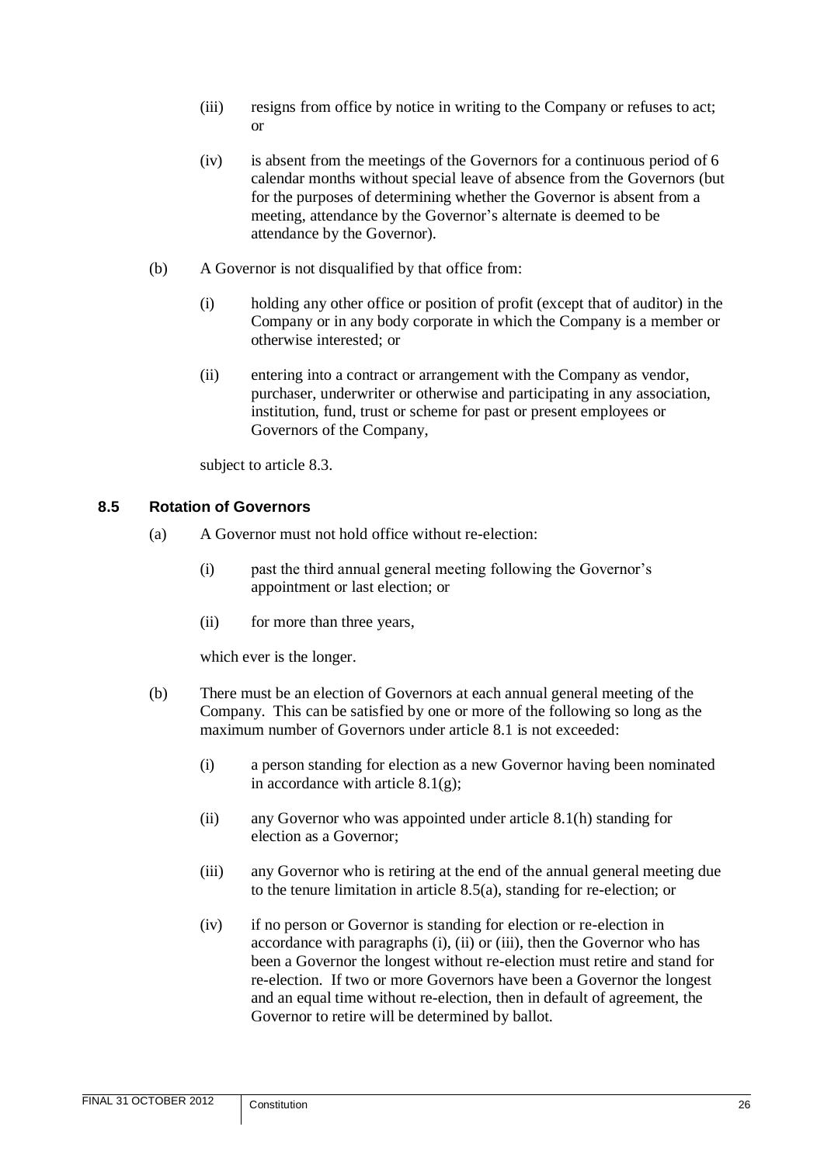- (iii) resigns from office by notice in writing to the Company or refuses to act; or
- (iv) is absent from the meetings of the Governors for a continuous period of 6 calendar months without special leave of absence from the Governors (but for the purposes of determining whether the Governor is absent from a meeting, attendance by the Governor's alternate is deemed to be attendance by the Governor).
- (b) A Governor is not disqualified by that office from:
	- (i) holding any other office or position of profit (except that of auditor) in the Company or in any body corporate in which the Company is a member or otherwise interested; or
	- (ii) entering into a contract or arrangement with the Company as vendor, purchaser, underwriter or otherwise and participating in any association, institution, fund, trust or scheme for past or present employees or Governors of the Company,

subject to article [8.3.](#page-27-1)

#### <span id="page-28-1"></span><span id="page-28-0"></span>**8.5 Rotation of Governors**

- (a) A Governor must not hold office without re-election:
	- (i) past the third annual general meeting following the Governor's appointment or last election; or
	- (ii) for more than three years,

which ever is the longer.

- (b) There must be an election of Governors at each annual general meeting of the Company. This can be satisfied by one or more of the following so long as the maximum number of Governors under article [8.1](#page-25-2) is not exceeded:
	- (i) a person standing for election as a new Governor having been nominated in accordance with article  $8.1(g)$ ;
	- (ii) any Governor who was appointed under article [8.1\(h\)](#page-26-1) standing for election as a Governor;
	- (iii) any Governor who is retiring at the end of the annual general meeting due to the tenure limitation in article [8.5\(a\),](#page-28-1) standing for re-election; or
	- (iv) if no person or Governor is standing for election or re-election in accordance with paragraphs (i), (ii) or (iii), then the Governor who has been a Governor the longest without re-election must retire and stand for re-election. If two or more Governors have been a Governor the longest and an equal time without re-election, then in default of agreement, the Governor to retire will be determined by ballot.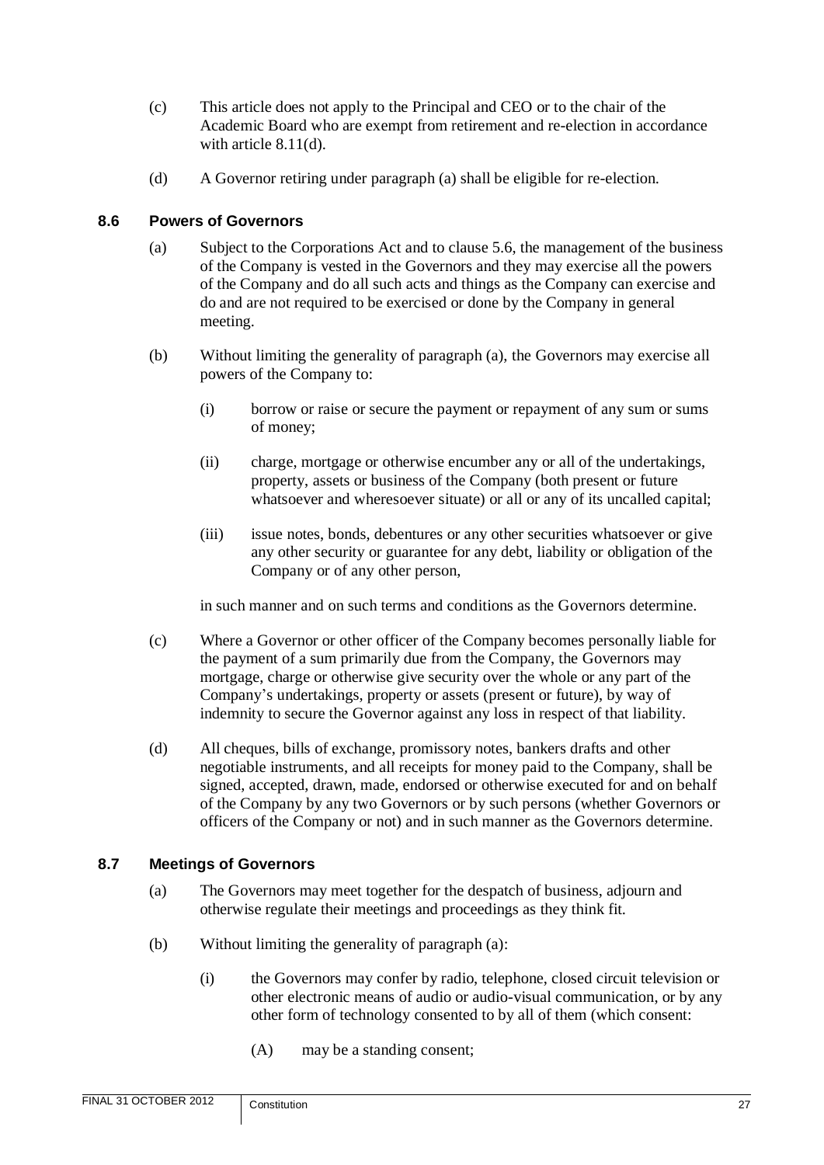- (c) This article does not apply to the Principal and CEO or to the chair of the Academic Board who are exempt from retirement and re-election in accordance with article [8.11\(d\).](#page-32-4)
- (d) A Governor retiring under paragraph (a) shall be eligible for re-election.

#### <span id="page-29-0"></span>**8.6 Powers of Governors**

- (a) Subject to the Corporations Act and to clause [5.6,](#page-14-0) the management of the business of the Company is vested in the Governors and they may exercise all the powers of the Company and do all such acts and things as the Company can exercise and do and are not required to be exercised or done by the Company in general meeting.
- (b) Without limiting the generality of paragraph (a), the Governors may exercise all powers of the Company to:
	- (i) borrow or raise or secure the payment or repayment of any sum or sums of money;
	- (ii) charge, mortgage or otherwise encumber any or all of the undertakings, property, assets or business of the Company (both present or future whatsoever and wheresoever situate) or all or any of its uncalled capital;
	- (iii) issue notes, bonds, debentures or any other securities whatsoever or give any other security or guarantee for any debt, liability or obligation of the Company or of any other person,

in such manner and on such terms and conditions as the Governors determine.

- (c) Where a Governor or other officer of the Company becomes personally liable for the payment of a sum primarily due from the Company, the Governors may mortgage, charge or otherwise give security over the whole or any part of the Company's undertakings, property or assets (present or future), by way of indemnity to secure the Governor against any loss in respect of that liability.
- (d) All cheques, bills of exchange, promissory notes, bankers drafts and other negotiable instruments, and all receipts for money paid to the Company, shall be signed, accepted, drawn, made, endorsed or otherwise executed for and on behalf of the Company by any two Governors or by such persons (whether Governors or officers of the Company or not) and in such manner as the Governors determine.

# <span id="page-29-1"></span>**8.7 Meetings of Governors**

- (a) The Governors may meet together for the despatch of business, adjourn and otherwise regulate their meetings and proceedings as they think fit.
- (b) Without limiting the generality of paragraph (a):
	- (i) the Governors may confer by radio, telephone, closed circuit television or other electronic means of audio or audio-visual communication, or by any other form of technology consented to by all of them (which consent:
		- (A) may be a standing consent;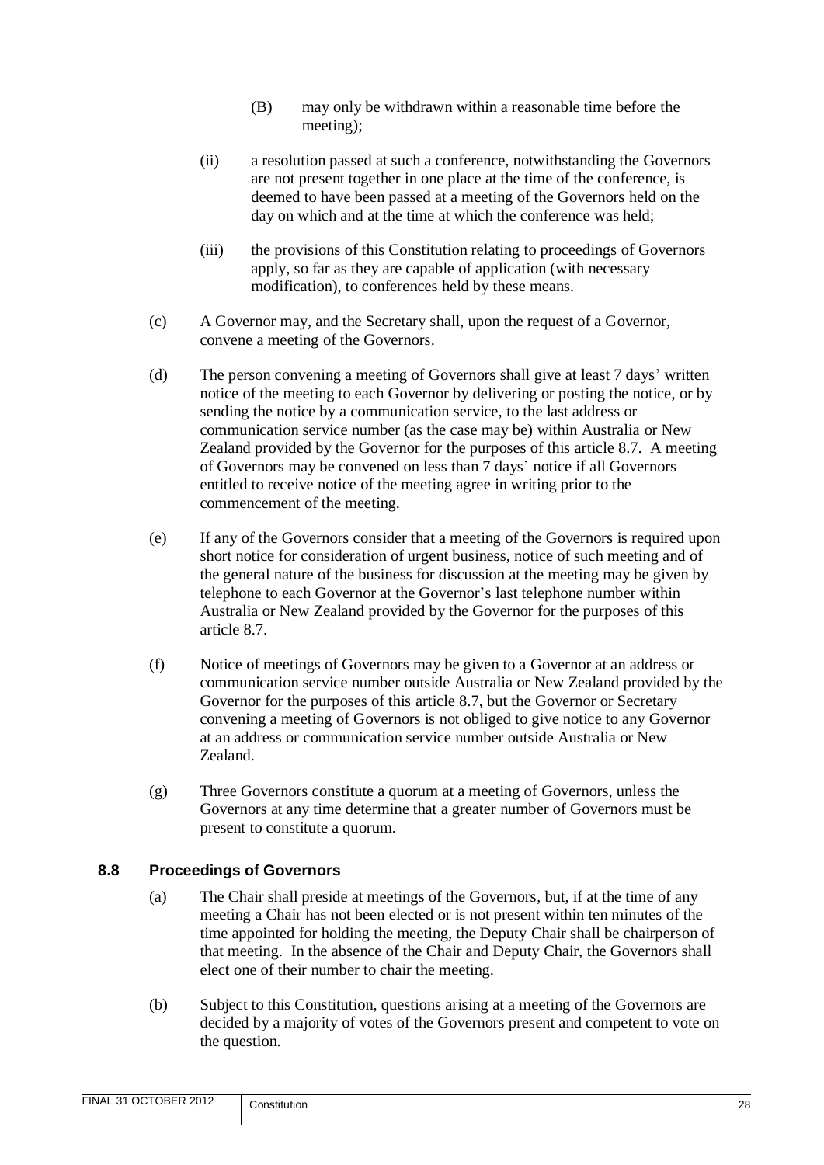- (B) may only be withdrawn within a reasonable time before the meeting);
- (ii) a resolution passed at such a conference, notwithstanding the Governors are not present together in one place at the time of the conference, is deemed to have been passed at a meeting of the Governors held on the day on which and at the time at which the conference was held;
- (iii) the provisions of this Constitution relating to proceedings of Governors apply, so far as they are capable of application (with necessary modification), to conferences held by these means.
- (c) A Governor may, and the Secretary shall, upon the request of a Governor, convene a meeting of the Governors.
- (d) The person convening a meeting of Governors shall give at least 7 days' written notice of the meeting to each Governor by delivering or posting the notice, or by sending the notice by a communication service, to the last address or communication service number (as the case may be) within Australia or New Zealand provided by the Governor for the purposes of this article [8.7.](#page-29-1) A meeting of Governors may be convened on less than 7 days' notice if all Governors entitled to receive notice of the meeting agree in writing prior to the commencement of the meeting.
- (e) If any of the Governors consider that a meeting of the Governors is required upon short notice for consideration of urgent business, notice of such meeting and of the general nature of the business for discussion at the meeting may be given by telephone to each Governor at the Governor's last telephone number within Australia or New Zealand provided by the Governor for the purposes of this article [8.7.](#page-29-1)
- (f) Notice of meetings of Governors may be given to a Governor at an address or communication service number outside Australia or New Zealand provided by the Governor for the purposes of this article [8.7,](#page-29-1) but the Governor or Secretary convening a meeting of Governors is not obliged to give notice to any Governor at an address or communication service number outside Australia or New Zealand.
- <span id="page-30-1"></span>(g) Three Governors constitute a quorum at a meeting of Governors, unless the Governors at any time determine that a greater number of Governors must be present to constitute a quorum.

# <span id="page-30-0"></span>**8.8 Proceedings of Governors**

- (a) The Chair shall preside at meetings of the Governors, but, if at the time of any meeting a Chair has not been elected or is not present within ten minutes of the time appointed for holding the meeting, the Deputy Chair shall be chairperson of that meeting. In the absence of the Chair and Deputy Chair, the Governors shall elect one of their number to chair the meeting.
- (b) Subject to this Constitution, questions arising at a meeting of the Governors are decided by a majority of votes of the Governors present and competent to vote on the question.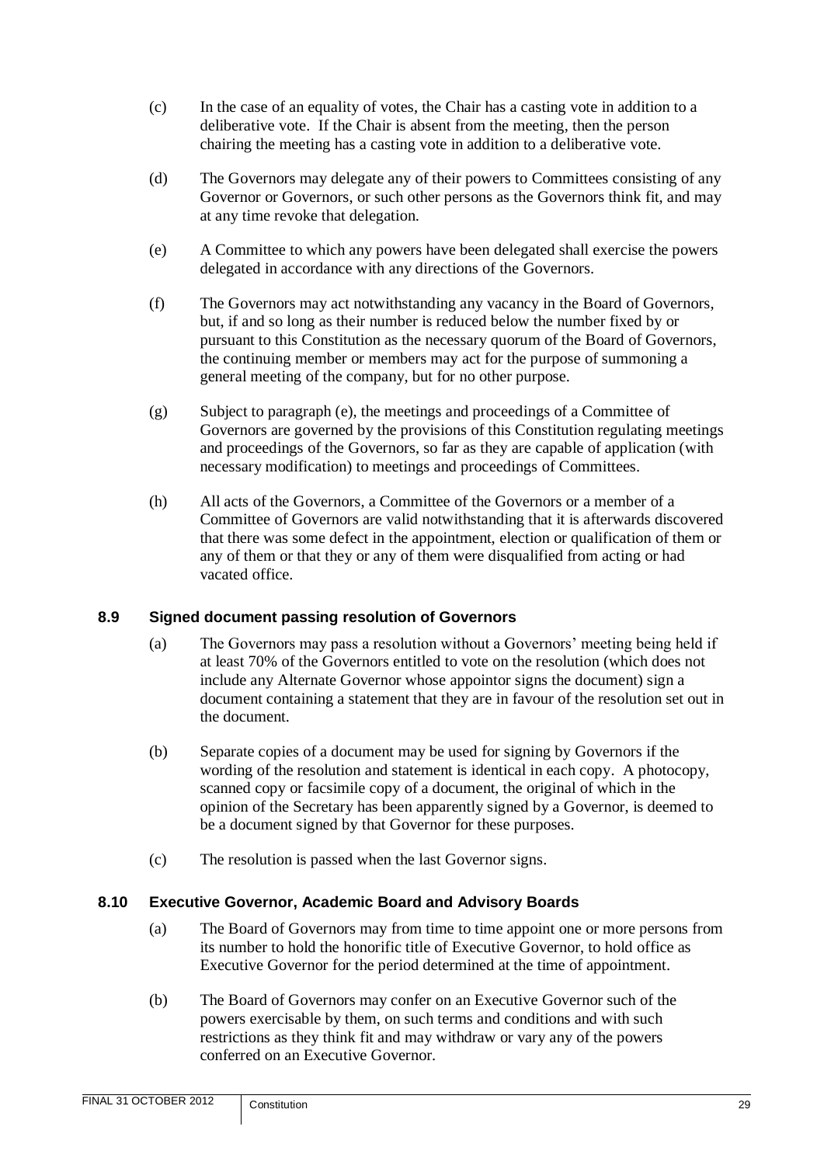- (c) In the case of an equality of votes, the Chair has a casting vote in addition to a deliberative vote. If the Chair is absent from the meeting, then the person chairing the meeting has a casting vote in addition to a deliberative vote.
- <span id="page-31-2"></span>(d) The Governors may delegate any of their powers to Committees consisting of any Governor or Governors, or such other persons as the Governors think fit, and may at any time revoke that delegation.
- (e) A Committee to which any powers have been delegated shall exercise the powers delegated in accordance with any directions of the Governors.
- (f) The Governors may act notwithstanding any vacancy in the Board of Governors, but, if and so long as their number is reduced below the number fixed by or pursuant to this Constitution as the necessary quorum of the Board of Governors, the continuing member or members may act for the purpose of summoning a general meeting of the company, but for no other purpose.
- (g) Subject to paragraph (e), the meetings and proceedings of a Committee of Governors are governed by the provisions of this Constitution regulating meetings and proceedings of the Governors, so far as they are capable of application (with necessary modification) to meetings and proceedings of Committees.
- (h) All acts of the Governors, a Committee of the Governors or a member of a Committee of Governors are valid notwithstanding that it is afterwards discovered that there was some defect in the appointment, election or qualification of them or any of them or that they or any of them were disqualified from acting or had vacated office.

# <span id="page-31-0"></span>**8.9 Signed document passing resolution of Governors**

- (a) The Governors may pass a resolution without a Governors' meeting being held if at least 70% of the Governors entitled to vote on the resolution (which does not include any Alternate Governor whose appointor signs the document) sign a document containing a statement that they are in favour of the resolution set out in the document.
- (b) Separate copies of a document may be used for signing by Governors if the wording of the resolution and statement is identical in each copy. A photocopy, scanned copy or facsimile copy of a document, the original of which in the opinion of the Secretary has been apparently signed by a Governor, is deemed to be a document signed by that Governor for these purposes.
- (c) The resolution is passed when the last Governor signs.

# <span id="page-31-1"></span>**8.10 Executive Governor, Academic Board and Advisory Boards**

- (a) The Board of Governors may from time to time appoint one or more persons from its number to hold the honorific title of Executive Governor, to hold office as Executive Governor for the period determined at the time of appointment.
- (b) The Board of Governors may confer on an Executive Governor such of the powers exercisable by them, on such terms and conditions and with such restrictions as they think fit and may withdraw or vary any of the powers conferred on an Executive Governor.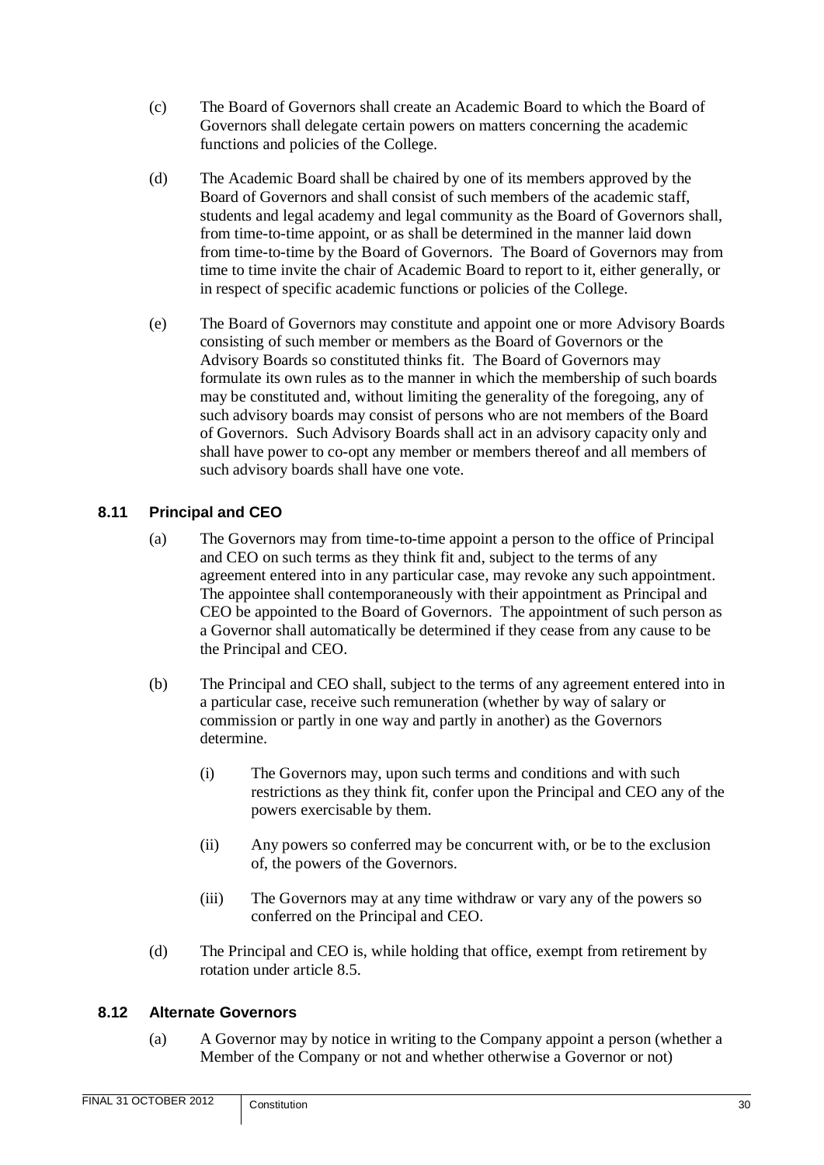- <span id="page-32-2"></span>(c) The Board of Governors shall create an Academic Board to which the Board of Governors shall delegate certain powers on matters concerning the academic functions and policies of the College.
- (d) The Academic Board shall be chaired by one of its members approved by the Board of Governors and shall consist of such members of the academic staff, students and legal academy and legal community as the Board of Governors shall, from time-to-time appoint, or as shall be determined in the manner laid down from time-to-time by the Board of Governors. The Board of Governors may from time to time invite the chair of Academic Board to report to it, either generally, or in respect of specific academic functions or policies of the College.
- <span id="page-32-3"></span>(e) The Board of Governors may constitute and appoint one or more Advisory Boards consisting of such member or members as the Board of Governors or the Advisory Boards so constituted thinks fit. The Board of Governors may formulate its own rules as to the manner in which the membership of such boards may be constituted and, without limiting the generality of the foregoing, any of such advisory boards may consist of persons who are not members of the Board of Governors. Such Advisory Boards shall act in an advisory capacity only and shall have power to co-opt any member or members thereof and all members of such advisory boards shall have one vote.

# <span id="page-32-0"></span>**8.11 Principal and CEO**

- (a) The Governors may from time-to-time appoint a person to the office of Principal and CEO on such terms as they think fit and, subject to the terms of any agreement entered into in any particular case, may revoke any such appointment. The appointee shall contemporaneously with their appointment as Principal and CEO be appointed to the Board of Governors. The appointment of such person as a Governor shall automatically be determined if they cease from any cause to be the Principal and CEO.
- (b) The Principal and CEO shall, subject to the terms of any agreement entered into in a particular case, receive such remuneration (whether by way of salary or commission or partly in one way and partly in another) as the Governors determine.
	- (i) The Governors may, upon such terms and conditions and with such restrictions as they think fit, confer upon the Principal and CEO any of the powers exercisable by them.
	- (ii) Any powers so conferred may be concurrent with, or be to the exclusion of, the powers of the Governors.
	- (iii) The Governors may at any time withdraw or vary any of the powers so conferred on the Principal and CEO.
- <span id="page-32-4"></span>(d) The Principal and CEO is, while holding that office, exempt from retirement by rotation under article [8.5.](#page-28-0)

# <span id="page-32-1"></span>**8.12 Alternate Governors**

(a) A Governor may by notice in writing to the Company appoint a person (whether a Member of the Company or not and whether otherwise a Governor or not)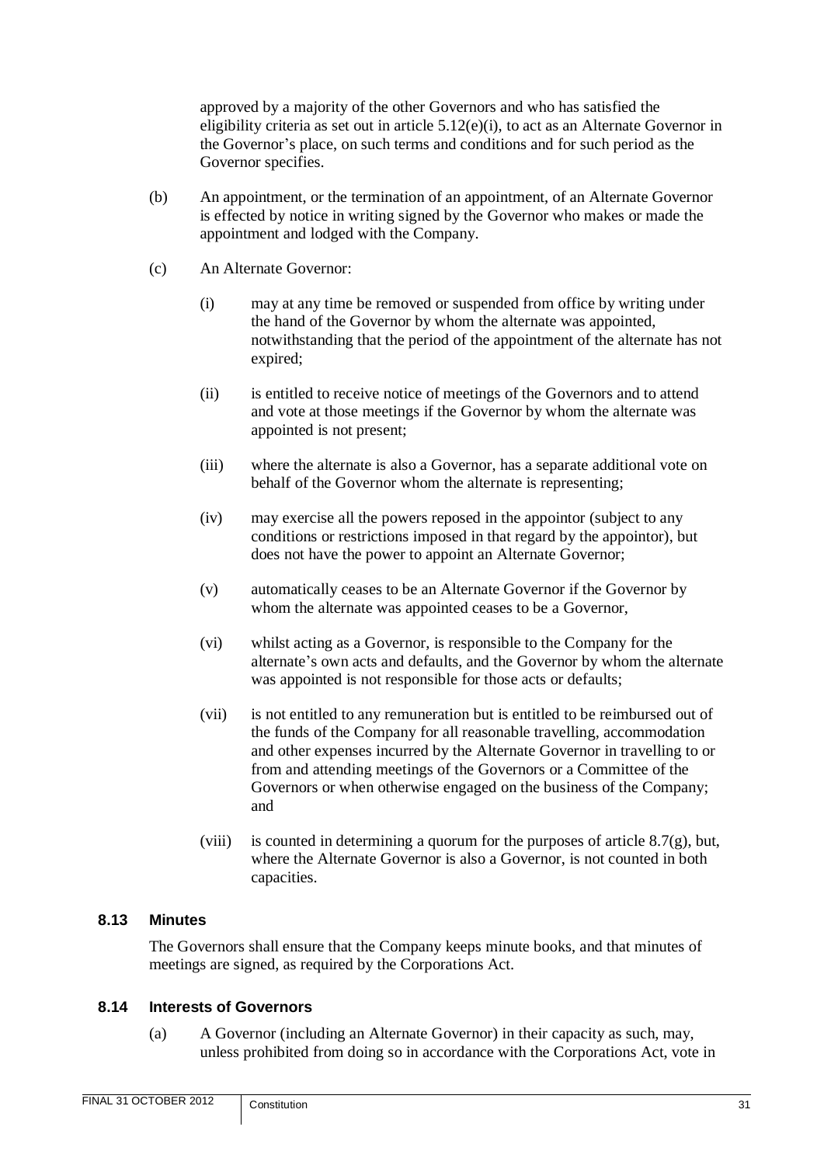approved by a majority of the other Governors and who has satisfied the eligibility criteria as set out in article [5.12\(e\)\(i\),](#page-18-3) to act as an Alternate Governor in the Governor's place, on such terms and conditions and for such period as the Governor specifies.

- (b) An appointment, or the termination of an appointment, of an Alternate Governor is effected by notice in writing signed by the Governor who makes or made the appointment and lodged with the Company.
- (c) An Alternate Governor:
	- (i) may at any time be removed or suspended from office by writing under the hand of the Governor by whom the alternate was appointed, notwithstanding that the period of the appointment of the alternate has not expired;
	- (ii) is entitled to receive notice of meetings of the Governors and to attend and vote at those meetings if the Governor by whom the alternate was appointed is not present;
	- (iii) where the alternate is also a Governor, has a separate additional vote on behalf of the Governor whom the alternate is representing;
	- (iv) may exercise all the powers reposed in the appointor (subject to any conditions or restrictions imposed in that regard by the appointor), but does not have the power to appoint an Alternate Governor;
	- (v) automatically ceases to be an Alternate Governor if the Governor by whom the alternate was appointed ceases to be a Governor,
	- (vi) whilst acting as a Governor, is responsible to the Company for the alternate's own acts and defaults, and the Governor by whom the alternate was appointed is not responsible for those acts or defaults;
	- (vii) is not entitled to any remuneration but is entitled to be reimbursed out of the funds of the Company for all reasonable travelling, accommodation and other expenses incurred by the Alternate Governor in travelling to or from and attending meetings of the Governors or a Committee of the Governors or when otherwise engaged on the business of the Company; and
	- (viii) is counted in determining a quorum for the purposes of article  $8.7(g)$ , but, where the Alternate Governor is also a Governor, is not counted in both capacities.

# <span id="page-33-0"></span>**8.13 Minutes**

The Governors shall ensure that the Company keeps minute books, and that minutes of meetings are signed, as required by the Corporations Act.

#### <span id="page-33-1"></span>**8.14 Interests of Governors**

(a) A Governor (including an Alternate Governor) in their capacity as such, may, unless prohibited from doing so in accordance with the Corporations Act, vote in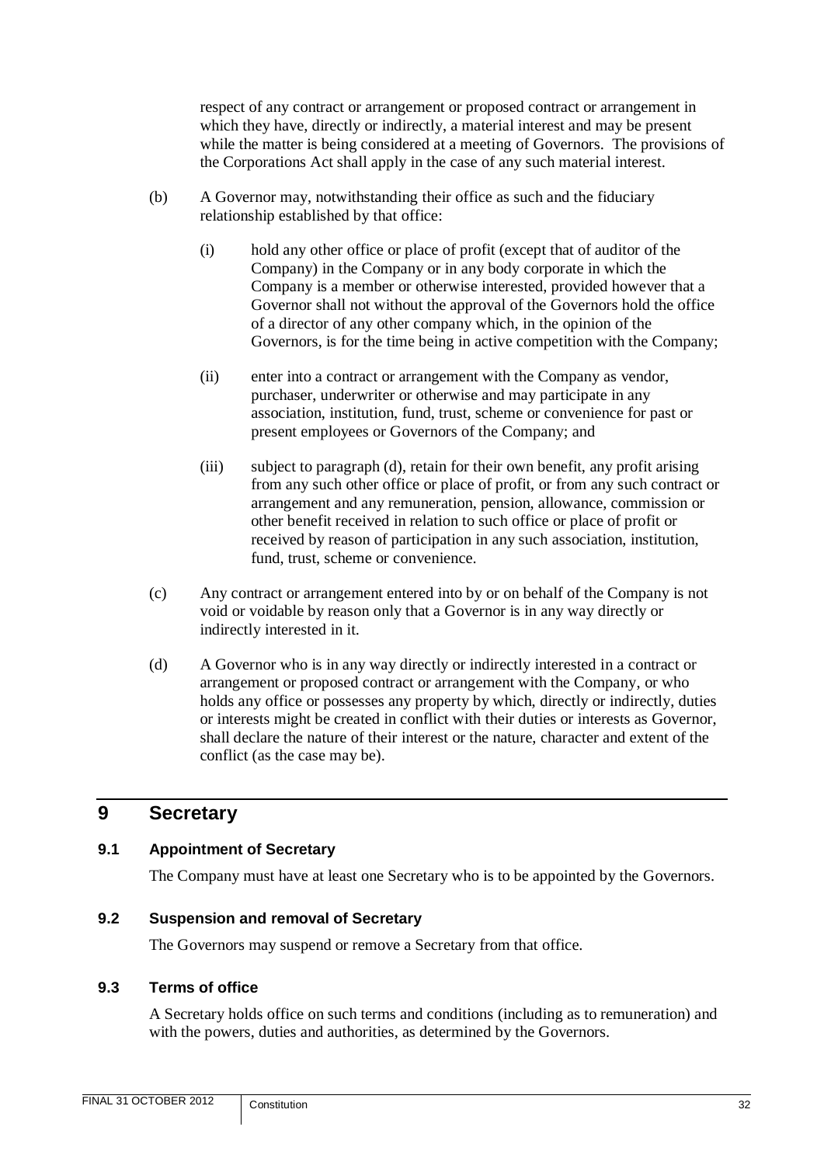respect of any contract or arrangement or proposed contract or arrangement in which they have, directly or indirectly, a material interest and may be present while the matter is being considered at a meeting of Governors. The provisions of the Corporations Act shall apply in the case of any such material interest.

- (b) A Governor may, notwithstanding their office as such and the fiduciary relationship established by that office:
	- (i) hold any other office or place of profit (except that of auditor of the Company) in the Company or in any body corporate in which the Company is a member or otherwise interested, provided however that a Governor shall not without the approval of the Governors hold the office of a director of any other company which, in the opinion of the Governors, is for the time being in active competition with the Company;
	- (ii) enter into a contract or arrangement with the Company as vendor, purchaser, underwriter or otherwise and may participate in any association, institution, fund, trust, scheme or convenience for past or present employees or Governors of the Company; and
	- (iii) subject to paragraph (d), retain for their own benefit, any profit arising from any such other office or place of profit, or from any such contract or arrangement and any remuneration, pension, allowance, commission or other benefit received in relation to such office or place of profit or received by reason of participation in any such association, institution, fund, trust, scheme or convenience.
- (c) Any contract or arrangement entered into by or on behalf of the Company is not void or voidable by reason only that a Governor is in any way directly or indirectly interested in it.
- (d) A Governor who is in any way directly or indirectly interested in a contract or arrangement or proposed contract or arrangement with the Company, or who holds any office or possesses any property by which, directly or indirectly, duties or interests might be created in conflict with their duties or interests as Governor, shall declare the nature of their interest or the nature, character and extent of the conflict (as the case may be).

# <span id="page-34-0"></span>**9 Secretary**

# <span id="page-34-1"></span>**9.1 Appointment of Secretary**

The Company must have at least one Secretary who is to be appointed by the Governors.

# <span id="page-34-2"></span>**9.2 Suspension and removal of Secretary**

The Governors may suspend or remove a Secretary from that office.

# <span id="page-34-3"></span>**9.3 Terms of office**

A Secretary holds office on such terms and conditions (including as to remuneration) and with the powers, duties and authorities, as determined by the Governors.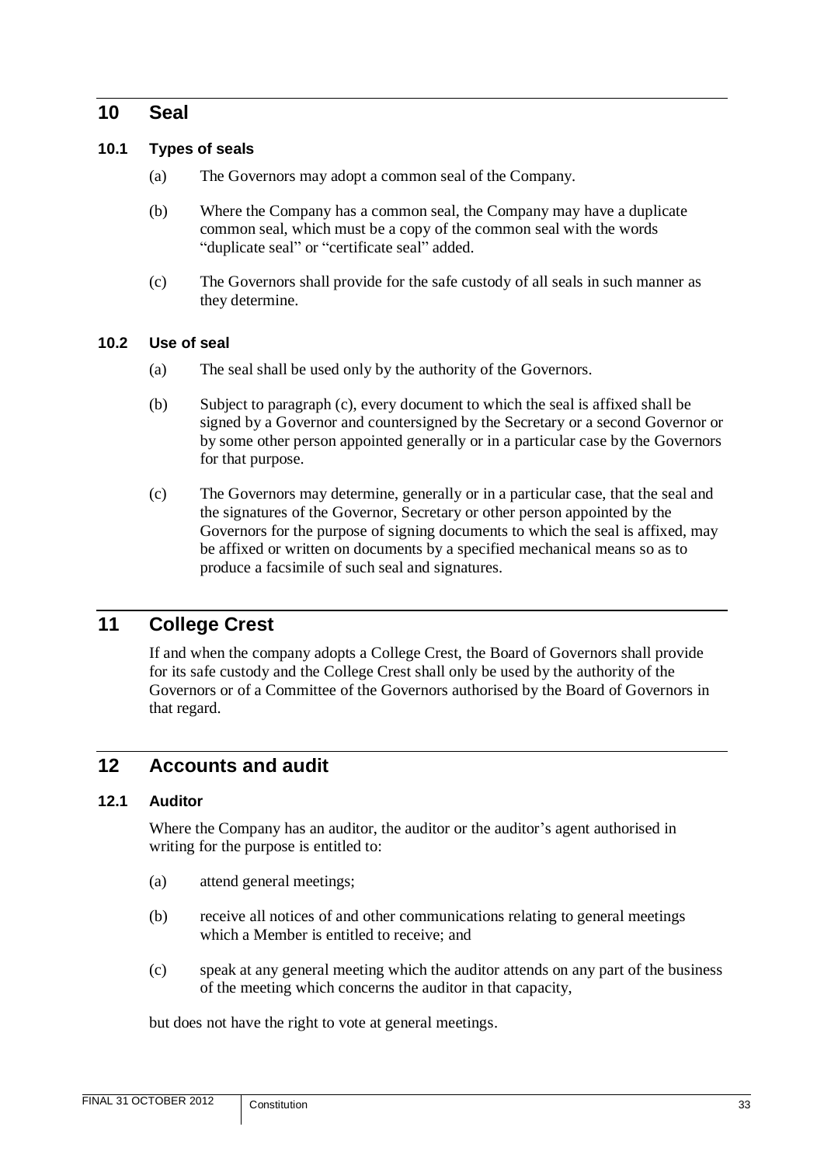# <span id="page-35-0"></span>**10 Seal**

#### <span id="page-35-1"></span>**10.1 Types of seals**

- (a) The Governors may adopt a common seal of the Company.
- (b) Where the Company has a common seal, the Company may have a duplicate common seal, which must be a copy of the common seal with the words "duplicate seal" or "certificate seal" added.
- (c) The Governors shall provide for the safe custody of all seals in such manner as they determine.

#### <span id="page-35-2"></span>**10.2 Use of seal**

- (a) The seal shall be used only by the authority of the Governors.
- (b) Subject to paragraph (c), every document to which the seal is affixed shall be signed by a Governor and countersigned by the Secretary or a second Governor or by some other person appointed generally or in a particular case by the Governors for that purpose.
- (c) The Governors may determine, generally or in a particular case, that the seal and the signatures of the Governor, Secretary or other person appointed by the Governors for the purpose of signing documents to which the seal is affixed, may be affixed or written on documents by a specified mechanical means so as to produce a facsimile of such seal and signatures.

# <span id="page-35-3"></span>**11 College Crest**

If and when the company adopts a College Crest, the Board of Governors shall provide for its safe custody and the College Crest shall only be used by the authority of the Governors or of a Committee of the Governors authorised by the Board of Governors in that regard.

# <span id="page-35-4"></span>**12 Accounts and audit**

#### <span id="page-35-5"></span>**12.1 Auditor**

Where the Company has an auditor, the auditor or the auditor's agent authorised in writing for the purpose is entitled to:

- (a) attend general meetings;
- (b) receive all notices of and other communications relating to general meetings which a Member is entitled to receive; and
- (c) speak at any general meeting which the auditor attends on any part of the business of the meeting which concerns the auditor in that capacity,

but does not have the right to vote at general meetings.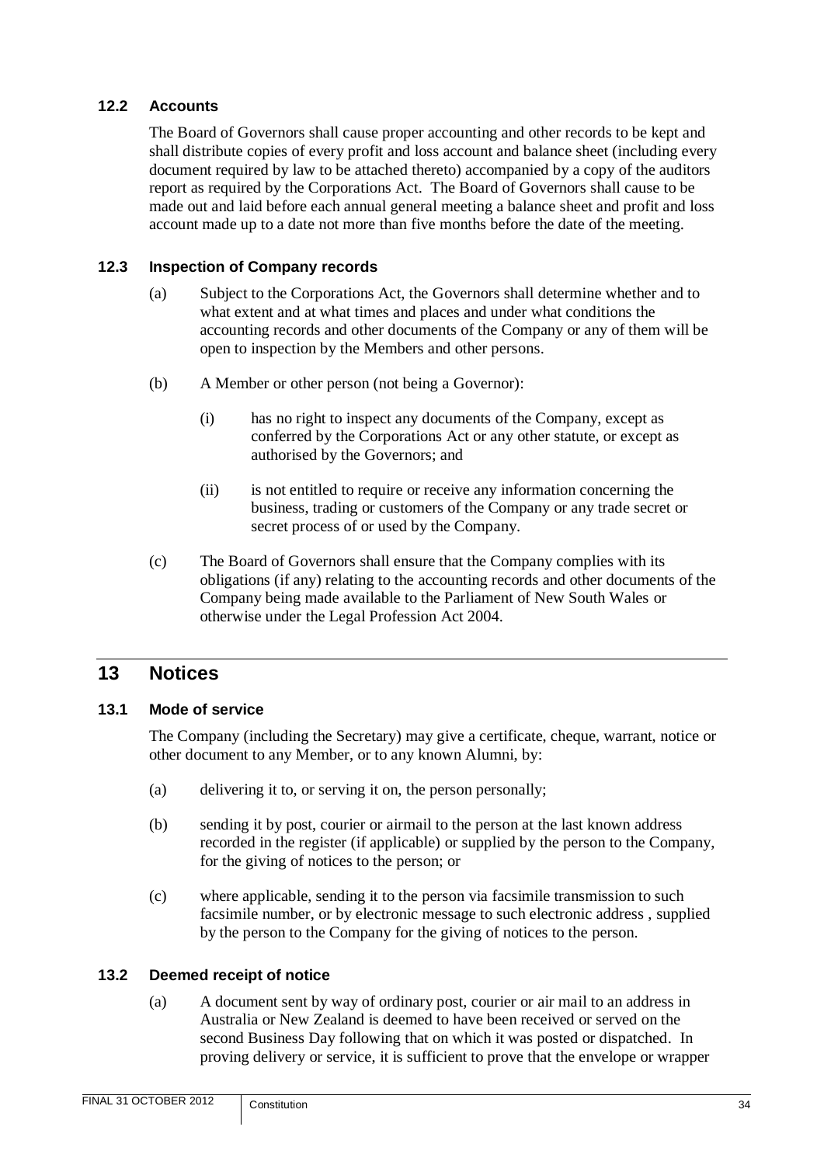#### <span id="page-36-0"></span>**12.2 Accounts**

The Board of Governors shall cause proper accounting and other records to be kept and shall distribute copies of every profit and loss account and balance sheet (including every document required by law to be attached thereto) accompanied by a copy of the auditors report as required by the Corporations Act. The Board of Governors shall cause to be made out and laid before each annual general meeting a balance sheet and profit and loss account made up to a date not more than five months before the date of the meeting.

#### <span id="page-36-1"></span>**12.3 Inspection of Company records**

- (a) Subject to the Corporations Act, the Governors shall determine whether and to what extent and at what times and places and under what conditions the accounting records and other documents of the Company or any of them will be open to inspection by the Members and other persons.
- (b) A Member or other person (not being a Governor):
	- (i) has no right to inspect any documents of the Company, except as conferred by the Corporations Act or any other statute, or except as authorised by the Governors; and
	- (ii) is not entitled to require or receive any information concerning the business, trading or customers of the Company or any trade secret or secret process of or used by the Company.
- (c) The Board of Governors shall ensure that the Company complies with its obligations (if any) relating to the accounting records and other documents of the Company being made available to the Parliament of New South Wales or otherwise under the Legal Profession Act 2004.

# <span id="page-36-2"></span>**13 Notices**

#### <span id="page-36-3"></span>**13.1 Mode of service**

The Company (including the Secretary) may give a certificate, cheque, warrant, notice or other document to any Member, or to any known Alumni, by:

- (a) delivering it to, or serving it on, the person personally;
- (b) sending it by post, courier or airmail to the person at the last known address recorded in the register (if applicable) or supplied by the person to the Company, for the giving of notices to the person; or
- (c) where applicable, sending it to the person via facsimile transmission to such facsimile number, or by electronic message to such electronic address , supplied by the person to the Company for the giving of notices to the person.

#### <span id="page-36-4"></span>**13.2 Deemed receipt of notice**

(a) A document sent by way of ordinary post, courier or air mail to an address in Australia or New Zealand is deemed to have been received or served on the second Business Day following that on which it was posted or dispatched. In proving delivery or service, it is sufficient to prove that the envelope or wrapper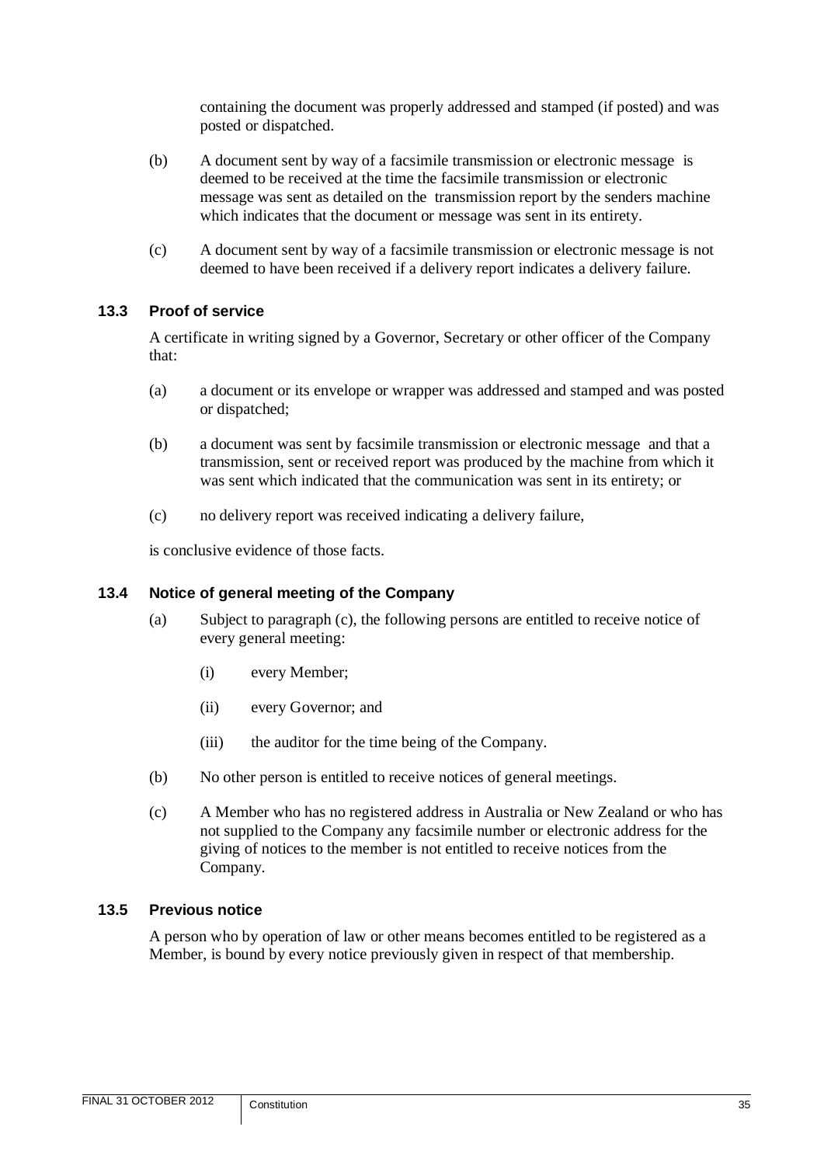containing the document was properly addressed and stamped (if posted) and was posted or dispatched.

- (b) A document sent by way of a facsimile transmission or electronic message is deemed to be received at the time the facsimile transmission or electronic message was sent as detailed on the transmission report by the senders machine which indicates that the document or message was sent in its entirety.
- (c) A document sent by way of a facsimile transmission or electronic message is not deemed to have been received if a delivery report indicates a delivery failure.

#### <span id="page-37-0"></span>**13.3 Proof of service**

A certificate in writing signed by a Governor, Secretary or other officer of the Company that:

- (a) a document or its envelope or wrapper was addressed and stamped and was posted or dispatched;
- (b) a document was sent by facsimile transmission or electronic message and that a transmission, sent or received report was produced by the machine from which it was sent which indicated that the communication was sent in its entirety; or
- (c) no delivery report was received indicating a delivery failure,

is conclusive evidence of those facts.

#### <span id="page-37-1"></span>**13.4 Notice of general meeting of the Company**

- (a) Subject to paragraph (c), the following persons are entitled to receive notice of every general meeting:
	- (i) every Member;
	- (ii) every Governor; and
	- (iii) the auditor for the time being of the Company.
- (b) No other person is entitled to receive notices of general meetings.
- (c) A Member who has no registered address in Australia or New Zealand or who has not supplied to the Company any facsimile number or electronic address for the giving of notices to the member is not entitled to receive notices from the Company.

#### <span id="page-37-2"></span>**13.5 Previous notice**

A person who by operation of law or other means becomes entitled to be registered as a Member, is bound by every notice previously given in respect of that membership.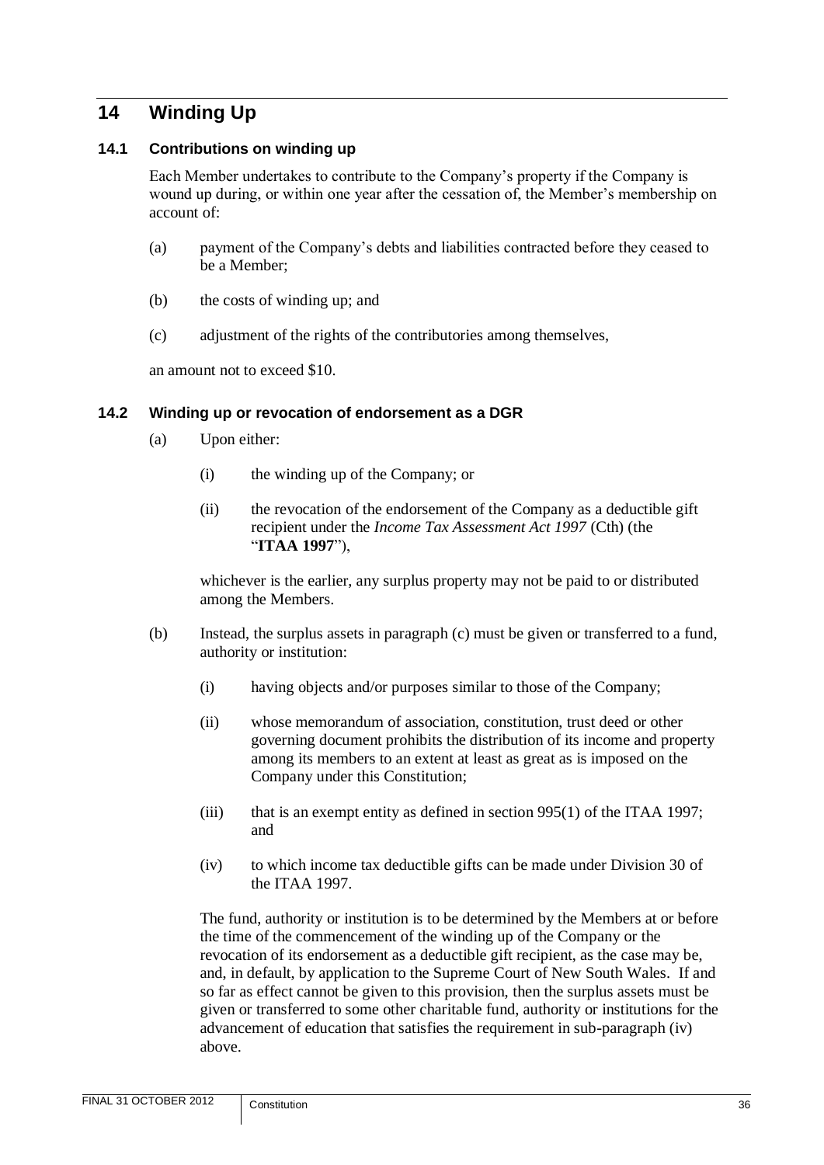# <span id="page-38-0"></span>**14 Winding Up**

#### <span id="page-38-1"></span>**14.1 Contributions on winding up**

Each Member undertakes to contribute to the Company's property if the Company is wound up during, or within one year after the cessation of, the Member's membership on account of:

- (a) payment of the Company's debts and liabilities contracted before they ceased to be a Member;
- (b) the costs of winding up; and
- (c) adjustment of the rights of the contributories among themselves,

an amount not to exceed \$10.

#### <span id="page-38-2"></span>**14.2 Winding up or revocation of endorsement as a DGR**

- (a) Upon either:
	- (i) the winding up of the Company; or
	- (ii) the revocation of the endorsement of the Company as a deductible gift recipient under the *Income Tax Assessment Act 1997* (Cth) (the "**ITAA 1997**"),

whichever is the earlier, any surplus property may not be paid to or distributed among the Members.

- (b) Instead, the surplus assets in paragraph (c) must be given or transferred to a fund, authority or institution:
	- (i) having objects and/or purposes similar to those of the Company;
	- (ii) whose memorandum of association, constitution, trust deed or other governing document prohibits the distribution of its income and property among its members to an extent at least as great as is imposed on the Company under this Constitution;
	- (iii) that is an exempt entity as defined in section  $995(1)$  of the ITAA 1997; and
	- (iv) to which income tax deductible gifts can be made under Division 30 of the ITAA 1997.

The fund, authority or institution is to be determined by the Members at or before the time of the commencement of the winding up of the Company or the revocation of its endorsement as a deductible gift recipient, as the case may be, and, in default, by application to the Supreme Court of New South Wales. If and so far as effect cannot be given to this provision, then the surplus assets must be given or transferred to some other charitable fund, authority or institutions for the advancement of education that satisfies the requirement in sub-paragraph (iv) above.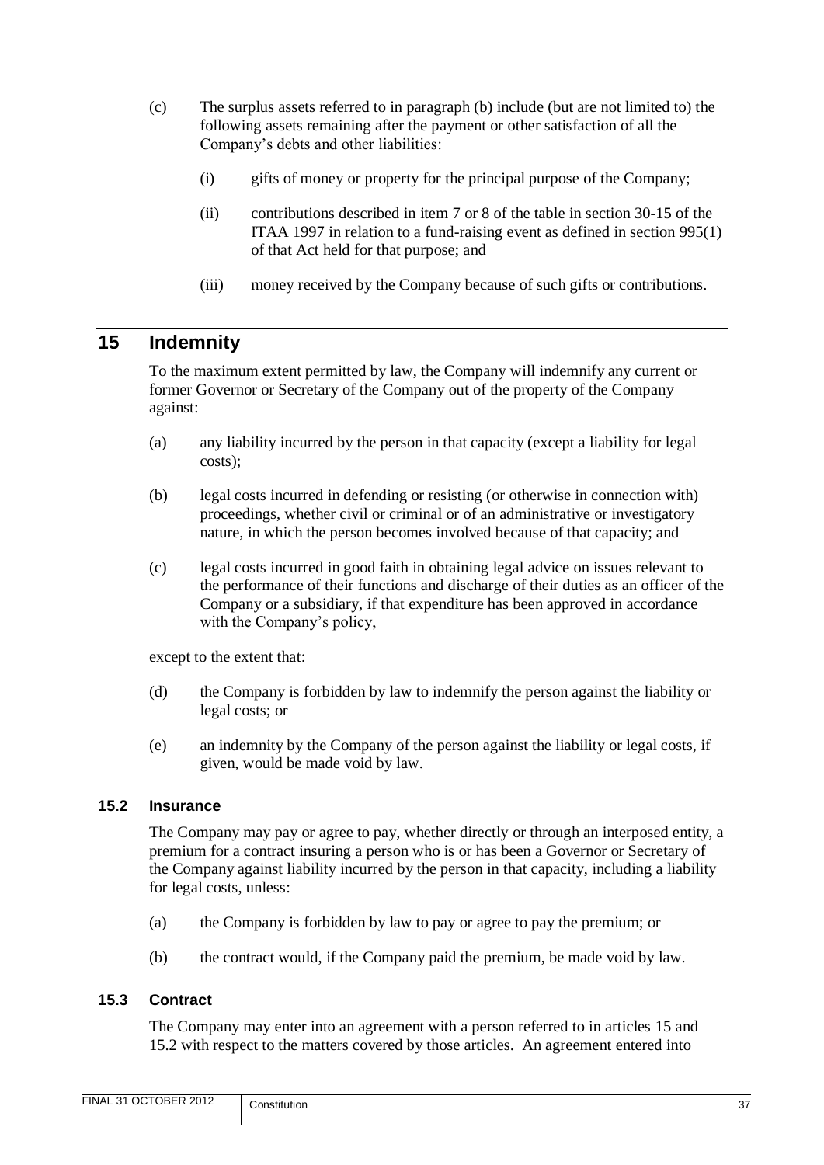- (c) The surplus assets referred to in paragraph (b) include (but are not limited to) the following assets remaining after the payment or other satisfaction of all the Company's debts and other liabilities:
	- (i) gifts of money or property for the principal purpose of the Company;
	- (ii) contributions described in item 7 or 8 of the table in section 30-15 of the ITAA 1997 in relation to a fund-raising event as defined in section 995(1) of that Act held for that purpose; and
	- (iii) money received by the Company because of such gifts or contributions.

# <span id="page-39-0"></span>**15 Indemnity**

To the maximum extent permitted by law, the Company will indemnify any current or former Governor or Secretary of the Company out of the property of the Company against:

- (a) any liability incurred by the person in that capacity (except a liability for legal costs);
- (b) legal costs incurred in defending or resisting (or otherwise in connection with) proceedings, whether civil or criminal or of an administrative or investigatory nature, in which the person becomes involved because of that capacity; and
- (c) legal costs incurred in good faith in obtaining legal advice on issues relevant to the performance of their functions and discharge of their duties as an officer of the Company or a subsidiary, if that expenditure has been approved in accordance with the Company's policy,

except to the extent that:

- (d) the Company is forbidden by law to indemnify the person against the liability or legal costs; or
- (e) an indemnity by the Company of the person against the liability or legal costs, if given, would be made void by law.

#### <span id="page-39-1"></span>**15.2 Insurance**

The Company may pay or agree to pay, whether directly or through an interposed entity, a premium for a contract insuring a person who is or has been a Governor or Secretary of the Company against liability incurred by the person in that capacity, including a liability for legal costs, unless:

- (a) the Company is forbidden by law to pay or agree to pay the premium; or
- (b) the contract would, if the Company paid the premium, be made void by law.

#### <span id="page-39-2"></span>**15.3 Contract**

The Company may enter into an agreement with a person referred to in articles [15](#page-39-0) and [15.2](#page-39-1) with respect to the matters covered by those articles. An agreement entered into